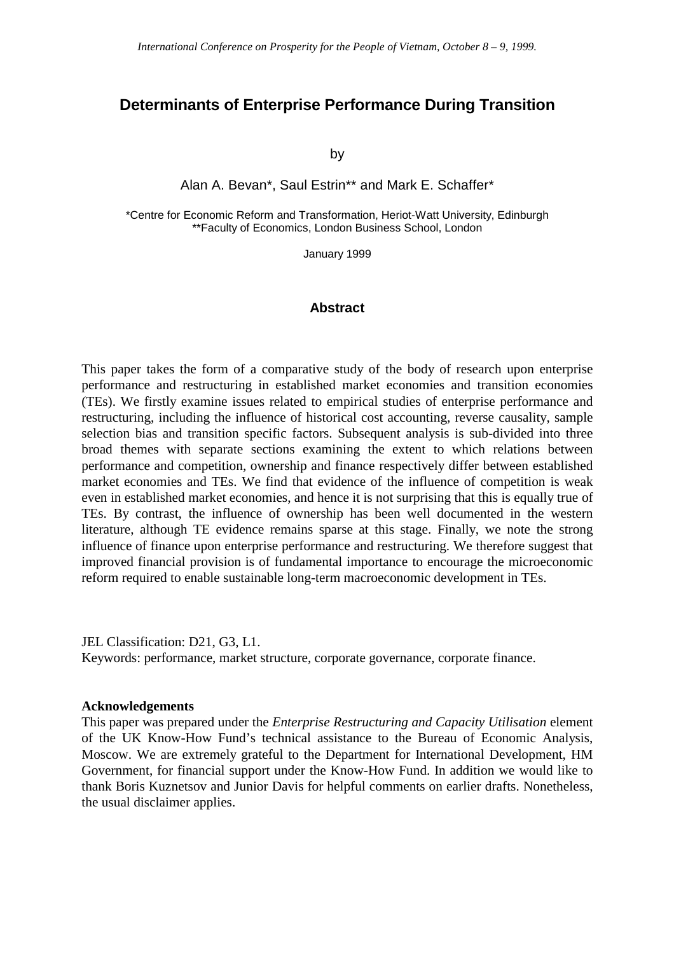## **Determinants of Enterprise Performance During Transition**

by

Alan A. Bevan\*, Saul Estrin\*\* and Mark E. Schaffer\*

\*Centre for Economic Reform and Transformation, Heriot-Watt University, Edinburgh \*\*Faculty of Economics, London Business School, London

January 1999

#### **Abstract**

This paper takes the form of a comparative study of the body of research upon enterprise performance and restructuring in established market economies and transition economies (TEs). We firstly examine issues related to empirical studies of enterprise performance and restructuring, including the influence of historical cost accounting, reverse causality, sample selection bias and transition specific factors. Subsequent analysis is sub-divided into three broad themes with separate sections examining the extent to which relations between performance and competition, ownership and finance respectively differ between established market economies and TEs. We find that evidence of the influence of competition is weak even in established market economies, and hence it is not surprising that this is equally true of TEs. By contrast, the influence of ownership has been well documented in the western literature, although TE evidence remains sparse at this stage. Finally, we note the strong influence of finance upon enterprise performance and restructuring. We therefore suggest that improved financial provision is of fundamental importance to encourage the microeconomic reform required to enable sustainable long-term macroeconomic development in TEs.

JEL Classification: D21, G3, L1.

Keywords: performance, market structure, corporate governance, corporate finance.

#### **Acknowledgements**

This paper was prepared under the *Enterprise Restructuring and Capacity Utilisation* element of the UK Know-How Fund's technical assistance to the Bureau of Economic Analysis, Moscow. We are extremely grateful to the Department for International Development, HM Government, for financial support under the Know-How Fund. In addition we would like to thank Boris Kuznetsov and Junior Davis for helpful comments on earlier drafts. Nonetheless, the usual disclaimer applies.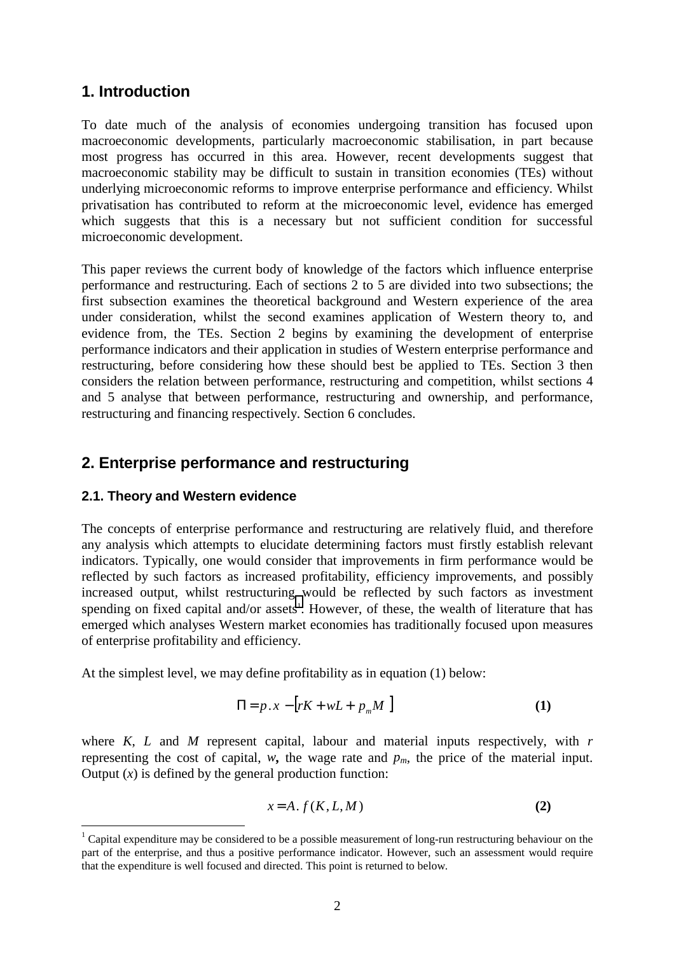# **1. Introduction**

To date much of the analysis of economies undergoing transition has focused upon macroeconomic developments, particularly macroeconomic stabilisation, in part because most progress has occurred in this area. However, recent developments suggest that macroeconomic stability may be difficult to sustain in transition economies (TEs) without underlying microeconomic reforms to improve enterprise performance and efficiency. Whilst privatisation has contributed to reform at the microeconomic level, evidence has emerged which suggests that this is a necessary but not sufficient condition for successful microeconomic development.

This paper reviews the current body of knowledge of the factors which influence enterprise performance and restructuring. Each of sections 2 to 5 are divided into two subsections; the first subsection examines the theoretical background and Western experience of the area under consideration, whilst the second examines application of Western theory to, and evidence from, the TEs. Section 2 begins by examining the development of enterprise performance indicators and their application in studies of Western enterprise performance and restructuring, before considering how these should best be applied to TEs. Section 3 then considers the relation between performance, restructuring and competition, whilst sections 4 and 5 analyse that between performance, restructuring and ownership, and performance, restructuring and financing respectively. Section 6 concludes.

## **2. Enterprise performance and restructuring**

#### **2.1. Theory and Western evidence**

 $\overline{a}$ 

The concepts of enterprise performance and restructuring are relatively fluid, and therefore any analysis which attempts to elucidate determining factors must firstly establish relevant indicators. Typically, one would consider that improvements in firm performance would be reflected by such factors as increased profitability, efficiency improvements, and possibly increased output, whilst restructuring would be reflected by such factors as investment spending on fixed capital and/or assets<sup>1</sup>. However, of these, the wealth of literature that has emerged which analyses Western market economies has traditionally focused upon measures of enterprise profitability and efficiency.

At the simplest level, we may define profitability as in equation (1) below:

$$
\Pi = p \cdot x - \left[ rK + wL + p_m M \right] \tag{1}
$$

where *K*, *L* and *M* represent capital, labour and material inputs respectively, with *r* representing the cost of capital, *w*, the wage rate and  $p_m$ , the price of the material input. Output  $(x)$  is defined by the general production function:

$$
x = A \cdot f(K, L, M) \tag{2}
$$

 $1$  Capital expenditure may be considered to be a possible measurement of long-run restructuring behaviour on the part of the enterprise, and thus a positive performance indicator. However, such an assessment would require that the expenditure is well focused and directed. This point is returned to below.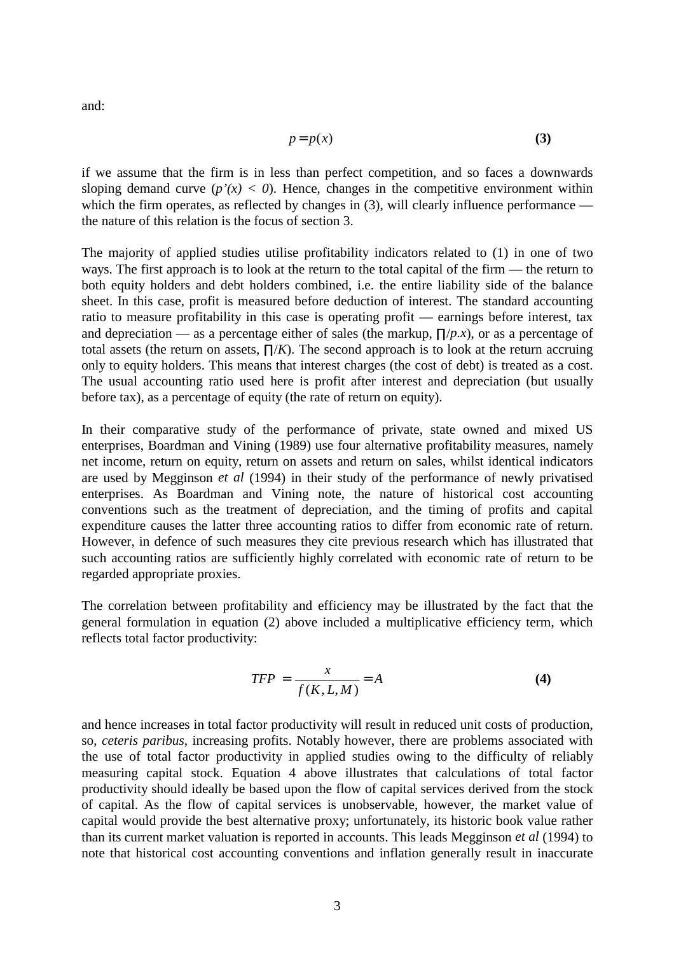and:

$$
p = p(x) \tag{3}
$$

if we assume that the firm is in less than perfect competition, and so faces a downwards sloping demand curve  $(p'(x) < 0)$ . Hence, changes in the competitive environment within which the firm operates, as reflected by changes in (3), will clearly influence performance the nature of this relation is the focus of section 3.

The majority of applied studies utilise profitability indicators related to (1) in one of two ways. The first approach is to look at the return to the total capital of the firm — the return to both equity holders and debt holders combined, i.e. the entire liability side of the balance sheet. In this case, profit is measured before deduction of interest. The standard accounting ratio to measure profitability in this case is operating profit — earnings before interest, tax and depreciation — as a percentage either of sales (the markup, ∏/*p.x*), or as a percentage of total assets (the return on assets,  $\prod/K$ ). The second approach is to look at the return accruing only to equity holders. This means that interest charges (the cost of debt) is treated as a cost. The usual accounting ratio used here is profit after interest and depreciation (but usually before tax), as a percentage of equity (the rate of return on equity).

In their comparative study of the performance of private, state owned and mixed US enterprises, Boardman and Vining (1989) use four alternative profitability measures, namely net income, return on equity, return on assets and return on sales, whilst identical indicators are used by Megginson *et al* (1994) in their study of the performance of newly privatised enterprises. As Boardman and Vining note, the nature of historical cost accounting conventions such as the treatment of depreciation, and the timing of profits and capital expenditure causes the latter three accounting ratios to differ from economic rate of return. However, in defence of such measures they cite previous research which has illustrated that such accounting ratios are sufficiently highly correlated with economic rate of return to be regarded appropriate proxies.

The correlation between profitability and efficiency may be illustrated by the fact that the general formulation in equation (2) above included a multiplicative efficiency term, which reflects total factor productivity:

$$
TFP = \frac{x}{f(K, L, M)} = A \tag{4}
$$

and hence increases in total factor productivity will result in reduced unit costs of production, so, *ceteris paribus*, increasing profits. Notably however, there are problems associated with the use of total factor productivity in applied studies owing to the difficulty of reliably measuring capital stock. Equation 4 above illustrates that calculations of total factor productivity should ideally be based upon the flow of capital services derived from the stock of capital. As the flow of capital services is unobservable, however, the market value of capital would provide the best alternative proxy; unfortunately, its historic book value rather than its current market valuation is reported in accounts. This leads Megginson *et al* (1994) to note that historical cost accounting conventions and inflation generally result in inaccurate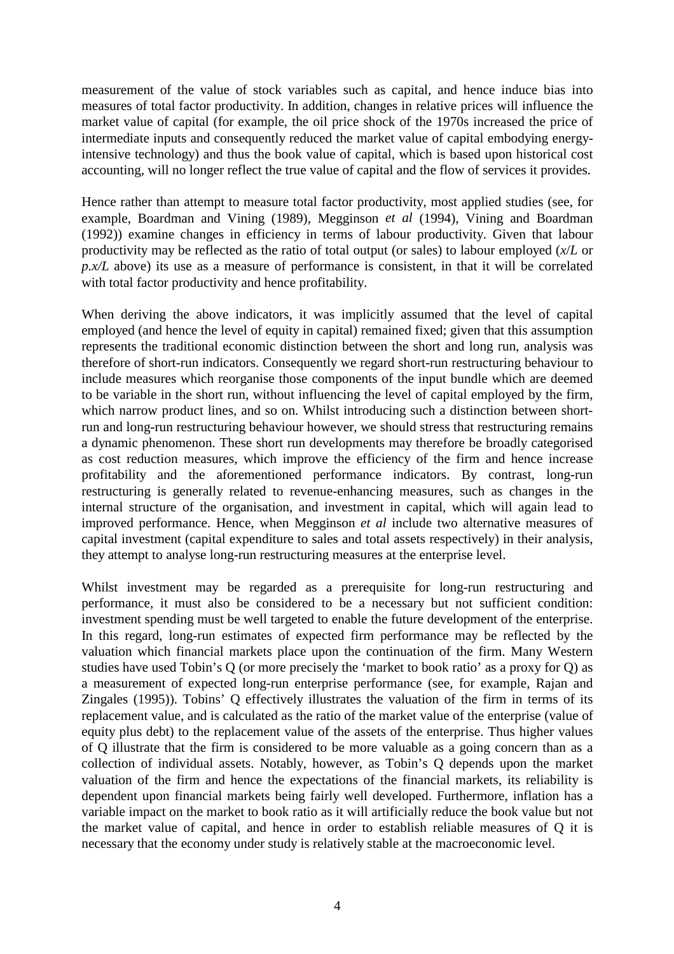measurement of the value of stock variables such as capital, and hence induce bias into measures of total factor productivity. In addition, changes in relative prices will influence the market value of capital (for example, the oil price shock of the 1970s increased the price of intermediate inputs and consequently reduced the market value of capital embodying energyintensive technology) and thus the book value of capital, which is based upon historical cost accounting, will no longer reflect the true value of capital and the flow of services it provides.

Hence rather than attempt to measure total factor productivity, most applied studies (see, for example, Boardman and Vining (1989), Megginson *et al* (1994), Vining and Boardman (1992)) examine changes in efficiency in terms of labour productivity. Given that labour productivity may be reflected as the ratio of total output (or sales) to labour employed (*x*/*L* or *p.x/L* above) its use as a measure of performance is consistent, in that it will be correlated with total factor productivity and hence profitability.

When deriving the above indicators, it was implicitly assumed that the level of capital employed (and hence the level of equity in capital) remained fixed; given that this assumption represents the traditional economic distinction between the short and long run, analysis was therefore of short-run indicators. Consequently we regard short-run restructuring behaviour to include measures which reorganise those components of the input bundle which are deemed to be variable in the short run, without influencing the level of capital employed by the firm, which narrow product lines, and so on. Whilst introducing such a distinction between shortrun and long-run restructuring behaviour however, we should stress that restructuring remains a dynamic phenomenon. These short run developments may therefore be broadly categorised as cost reduction measures, which improve the efficiency of the firm and hence increase profitability and the aforementioned performance indicators. By contrast, long-run restructuring is generally related to revenue-enhancing measures, such as changes in the internal structure of the organisation, and investment in capital, which will again lead to improved performance. Hence, when Megginson *et al* include two alternative measures of capital investment (capital expenditure to sales and total assets respectively) in their analysis, they attempt to analyse long-run restructuring measures at the enterprise level.

Whilst investment may be regarded as a prerequisite for long-run restructuring and performance, it must also be considered to be a necessary but not sufficient condition: investment spending must be well targeted to enable the future development of the enterprise. In this regard, long-run estimates of expected firm performance may be reflected by the valuation which financial markets place upon the continuation of the firm. Many Western studies have used Tobin's Q (or more precisely the 'market to book ratio' as a proxy for Q) as a measurement of expected long-run enterprise performance (see, for example, Rajan and Zingales (1995)). Tobins' Q effectively illustrates the valuation of the firm in terms of its replacement value, and is calculated as the ratio of the market value of the enterprise (value of equity plus debt) to the replacement value of the assets of the enterprise. Thus higher values of Q illustrate that the firm is considered to be more valuable as a going concern than as a collection of individual assets. Notably, however, as Tobin's Q depends upon the market valuation of the firm and hence the expectations of the financial markets, its reliability is dependent upon financial markets being fairly well developed. Furthermore, inflation has a variable impact on the market to book ratio as it will artificially reduce the book value but not the market value of capital, and hence in order to establish reliable measures of Q it is necessary that the economy under study is relatively stable at the macroeconomic level.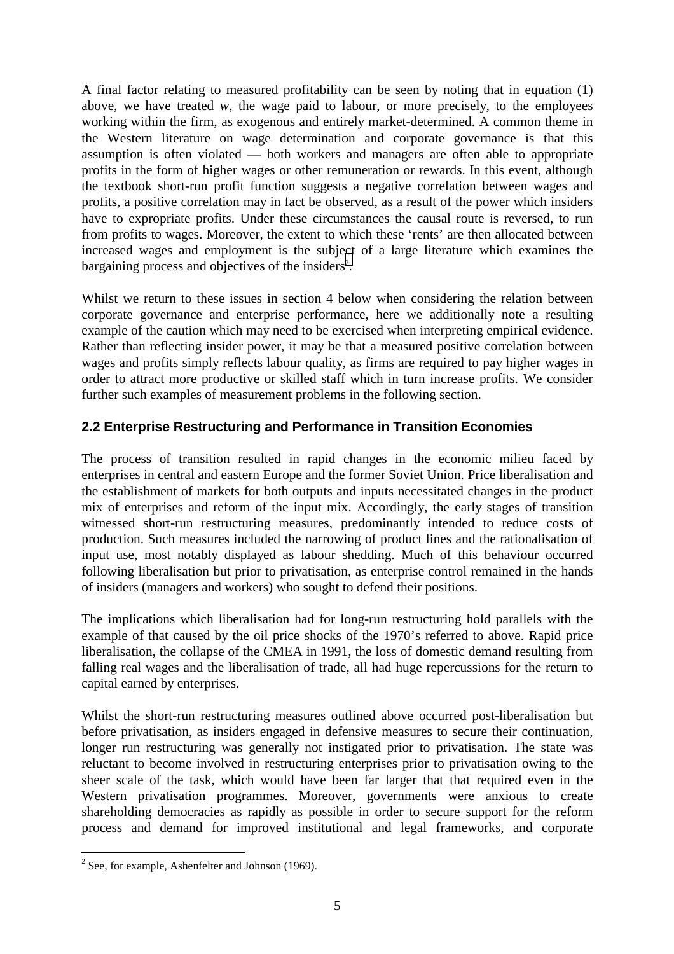A final factor relating to measured profitability can be seen by noting that in equation (1) above, we have treated  $w$ , the wage paid to labour, or more precisely, to the employees working within the firm, as exogenous and entirely market-determined. A common theme in the Western literature on wage determination and corporate governance is that this assumption is often violated — both workers and managers are often able to appropriate profits in the form of higher wages or other remuneration or rewards. In this event, although the textbook short-run profit function suggests a negative correlation between wages and profits, a positive correlation may in fact be observed, as a result of the power which insiders have to expropriate profits. Under these circumstances the causal route is reversed, to run from profits to wages. Moreover, the extent to which these 'rents' are then allocated between increased wages and employment is the subject of a large literature which examines the bargaining process and objectives of the insiders<sup>2</sup>.

Whilst we return to these issues in section 4 below when considering the relation between corporate governance and enterprise performance, here we additionally note a resulting example of the caution which may need to be exercised when interpreting empirical evidence. Rather than reflecting insider power, it may be that a measured positive correlation between wages and profits simply reflects labour quality, as firms are required to pay higher wages in order to attract more productive or skilled staff which in turn increase profits. We consider further such examples of measurement problems in the following section.

# **2.2 Enterprise Restructuring and Performance in Transition Economies**

The process of transition resulted in rapid changes in the economic milieu faced by enterprises in central and eastern Europe and the former Soviet Union. Price liberalisation and the establishment of markets for both outputs and inputs necessitated changes in the product mix of enterprises and reform of the input mix. Accordingly, the early stages of transition witnessed short-run restructuring measures, predominantly intended to reduce costs of production. Such measures included the narrowing of product lines and the rationalisation of input use, most notably displayed as labour shedding. Much of this behaviour occurred following liberalisation but prior to privatisation, as enterprise control remained in the hands of insiders (managers and workers) who sought to defend their positions.

The implications which liberalisation had for long-run restructuring hold parallels with the example of that caused by the oil price shocks of the 1970's referred to above. Rapid price liberalisation, the collapse of the CMEA in 1991, the loss of domestic demand resulting from falling real wages and the liberalisation of trade, all had huge repercussions for the return to capital earned by enterprises.

Whilst the short-run restructuring measures outlined above occurred post-liberalisation but before privatisation, as insiders engaged in defensive measures to secure their continuation, longer run restructuring was generally not instigated prior to privatisation. The state was reluctant to become involved in restructuring enterprises prior to privatisation owing to the sheer scale of the task, which would have been far larger that that required even in the Western privatisation programmes. Moreover, governments were anxious to create shareholding democracies as rapidly as possible in order to secure support for the reform process and demand for improved institutional and legal frameworks, and corporate

<sup>&</sup>lt;sup>2</sup> See, for example, Ashenfelter and Johnson (1969).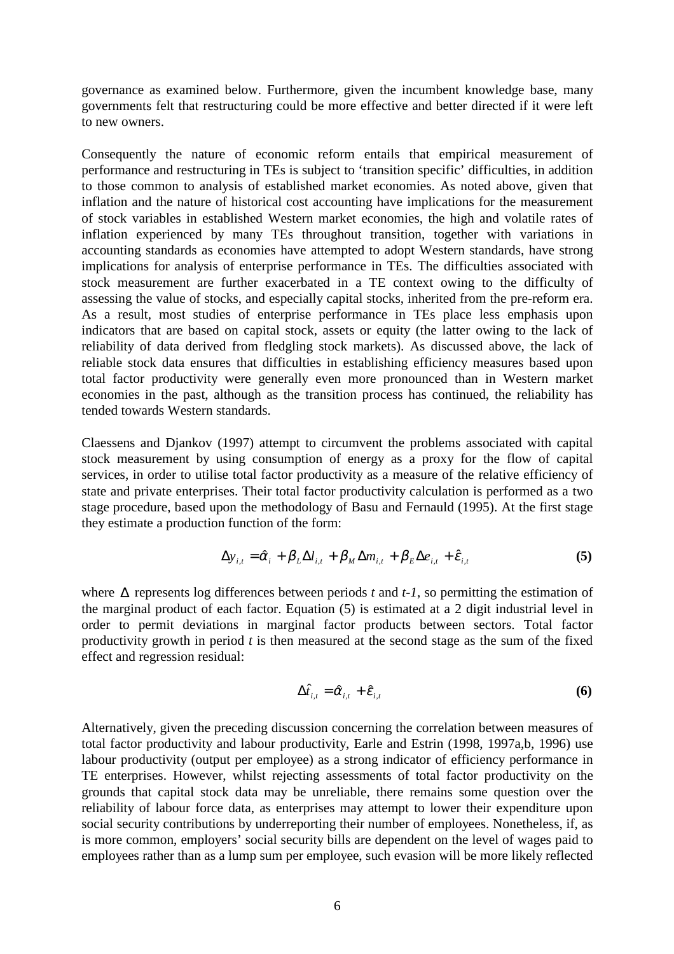governance as examined below. Furthermore, given the incumbent knowledge base, many governments felt that restructuring could be more effective and better directed if it were left to new owners.

Consequently the nature of economic reform entails that empirical measurement of performance and restructuring in TEs is subject to 'transition specific' difficulties, in addition to those common to analysis of established market economies. As noted above, given that inflation and the nature of historical cost accounting have implications for the measurement of stock variables in established Western market economies, the high and volatile rates of inflation experienced by many TEs throughout transition, together with variations in accounting standards as economies have attempted to adopt Western standards, have strong implications for analysis of enterprise performance in TEs. The difficulties associated with stock measurement are further exacerbated in a TE context owing to the difficulty of assessing the value of stocks, and especially capital stocks, inherited from the pre-reform era. As a result, most studies of enterprise performance in TEs place less emphasis upon indicators that are based on capital stock, assets or equity (the latter owing to the lack of reliability of data derived from fledgling stock markets). As discussed above, the lack of reliable stock data ensures that difficulties in establishing efficiency measures based upon total factor productivity were generally even more pronounced than in Western market economies in the past, although as the transition process has continued, the reliability has tended towards Western standards.

Claessens and Djankov (1997) attempt to circumvent the problems associated with capital stock measurement by using consumption of energy as a proxy for the flow of capital services, in order to utilise total factor productivity as a measure of the relative efficiency of state and private enterprises. Their total factor productivity calculation is performed as a two stage procedure, based upon the methodology of Basu and Fernauld (1995). At the first stage they estimate a production function of the form:

$$
\Delta y_{i,t} = \hat{\alpha}_i + \beta_L \Delta l_{i,t} + \beta_M \Delta m_{i,t} + \beta_E \Delta e_{i,t} + \hat{\varepsilon}_{i,t}
$$
\n(5)

where ∆ represents log differences between periods *t* and *t-1*, so permitting the estimation of the marginal product of each factor. Equation (5) is estimated at a 2 digit industrial level in order to permit deviations in marginal factor products between sectors. Total factor productivity growth in period *t* is then measured at the second stage as the sum of the fixed effect and regression residual:

$$
\Delta \hat{t}_{i,t} = \hat{\alpha}_{i,t} + \hat{\epsilon}_{i,t} \tag{6}
$$

Alternatively, given the preceding discussion concerning the correlation between measures of total factor productivity and labour productivity, Earle and Estrin (1998, 1997a,b, 1996) use labour productivity (output per employee) as a strong indicator of efficiency performance in TE enterprises. However, whilst rejecting assessments of total factor productivity on the grounds that capital stock data may be unreliable, there remains some question over the reliability of labour force data, as enterprises may attempt to lower their expenditure upon social security contributions by underreporting their number of employees. Nonetheless, if, as is more common, employers' social security bills are dependent on the level of wages paid to employees rather than as a lump sum per employee, such evasion will be more likely reflected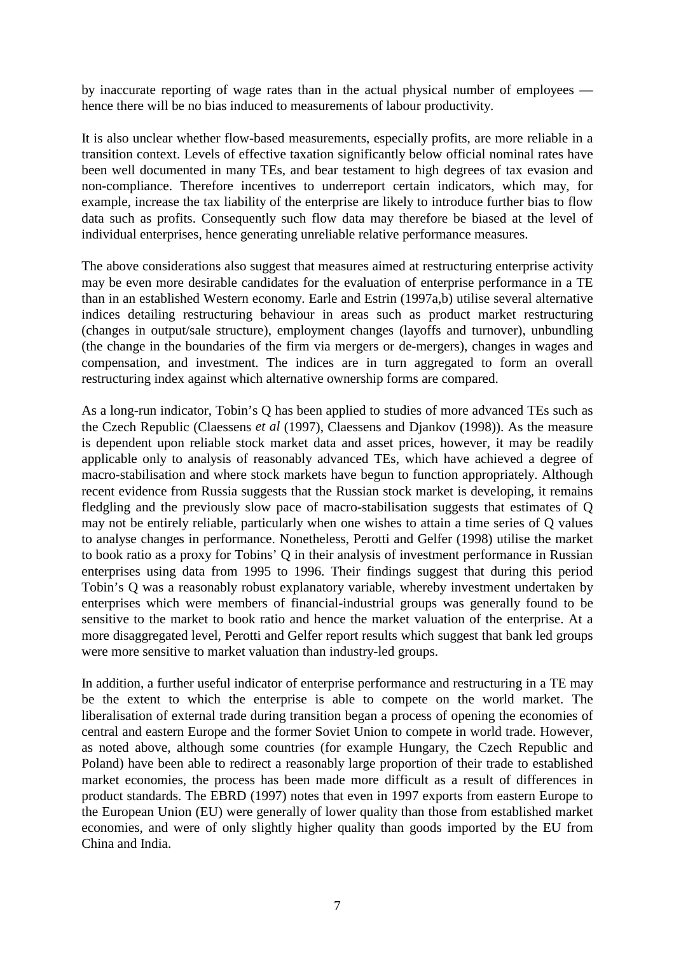by inaccurate reporting of wage rates than in the actual physical number of employees hence there will be no bias induced to measurements of labour productivity.

It is also unclear whether flow-based measurements, especially profits, are more reliable in a transition context. Levels of effective taxation significantly below official nominal rates have been well documented in many TEs, and bear testament to high degrees of tax evasion and non-compliance. Therefore incentives to underreport certain indicators, which may, for example, increase the tax liability of the enterprise are likely to introduce further bias to flow data such as profits. Consequently such flow data may therefore be biased at the level of individual enterprises, hence generating unreliable relative performance measures.

The above considerations also suggest that measures aimed at restructuring enterprise activity may be even more desirable candidates for the evaluation of enterprise performance in a TE than in an established Western economy. Earle and Estrin (1997a,b) utilise several alternative indices detailing restructuring behaviour in areas such as product market restructuring (changes in output/sale structure), employment changes (layoffs and turnover), unbundling (the change in the boundaries of the firm via mergers or de-mergers), changes in wages and compensation, and investment. The indices are in turn aggregated to form an overall restructuring index against which alternative ownership forms are compared.

As a long-run indicator, Tobin's Q has been applied to studies of more advanced TEs such as the Czech Republic (Claessens *et al* (1997), Claessens and Djankov (1998)). As the measure is dependent upon reliable stock market data and asset prices, however, it may be readily applicable only to analysis of reasonably advanced TEs, which have achieved a degree of macro-stabilisation and where stock markets have begun to function appropriately. Although recent evidence from Russia suggests that the Russian stock market is developing, it remains fledgling and the previously slow pace of macro-stabilisation suggests that estimates of Q may not be entirely reliable, particularly when one wishes to attain a time series of Q values to analyse changes in performance. Nonetheless, Perotti and Gelfer (1998) utilise the market to book ratio as a proxy for Tobins' Q in their analysis of investment performance in Russian enterprises using data from 1995 to 1996. Their findings suggest that during this period Tobin's Q was a reasonably robust explanatory variable, whereby investment undertaken by enterprises which were members of financial-industrial groups was generally found to be sensitive to the market to book ratio and hence the market valuation of the enterprise. At a more disaggregated level, Perotti and Gelfer report results which suggest that bank led groups were more sensitive to market valuation than industry-led groups.

In addition, a further useful indicator of enterprise performance and restructuring in a TE may be the extent to which the enterprise is able to compete on the world market. The liberalisation of external trade during transition began a process of opening the economies of central and eastern Europe and the former Soviet Union to compete in world trade. However, as noted above, although some countries (for example Hungary, the Czech Republic and Poland) have been able to redirect a reasonably large proportion of their trade to established market economies, the process has been made more difficult as a result of differences in product standards. The EBRD (1997) notes that even in 1997 exports from eastern Europe to the European Union (EU) were generally of lower quality than those from established market economies, and were of only slightly higher quality than goods imported by the EU from China and India.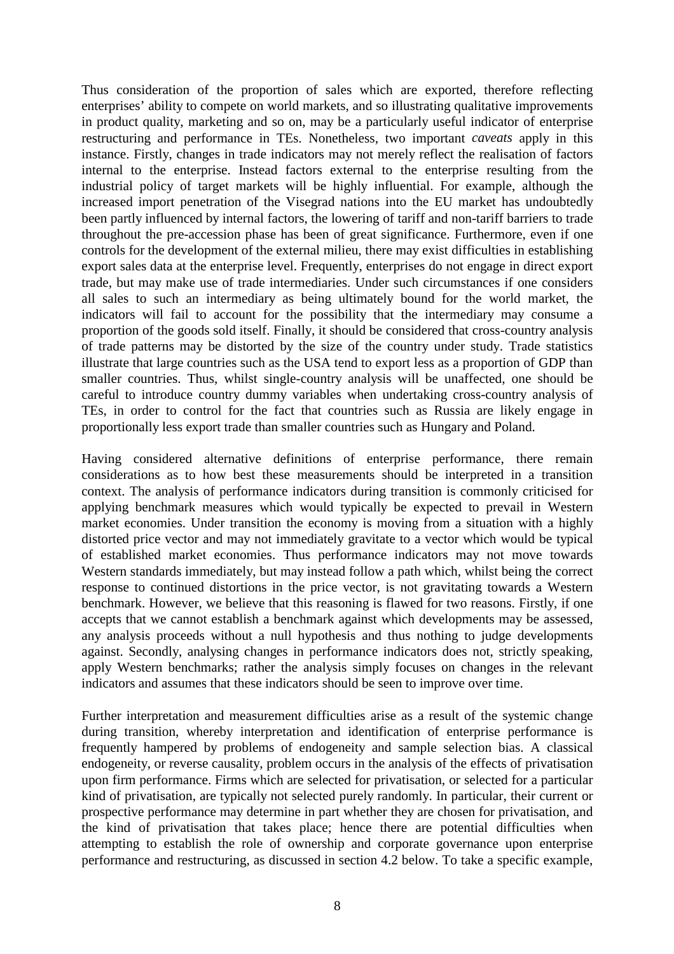Thus consideration of the proportion of sales which are exported, therefore reflecting enterprises' ability to compete on world markets, and so illustrating qualitative improvements in product quality, marketing and so on, may be a particularly useful indicator of enterprise restructuring and performance in TEs. Nonetheless, two important *caveats* apply in this instance. Firstly, changes in trade indicators may not merely reflect the realisation of factors internal to the enterprise. Instead factors external to the enterprise resulting from the industrial policy of target markets will be highly influential. For example, although the increased import penetration of the Visegrad nations into the EU market has undoubtedly been partly influenced by internal factors, the lowering of tariff and non-tariff barriers to trade throughout the pre-accession phase has been of great significance. Furthermore, even if one controls for the development of the external milieu, there may exist difficulties in establishing export sales data at the enterprise level. Frequently, enterprises do not engage in direct export trade, but may make use of trade intermediaries. Under such circumstances if one considers all sales to such an intermediary as being ultimately bound for the world market, the indicators will fail to account for the possibility that the intermediary may consume a proportion of the goods sold itself. Finally, it should be considered that cross-country analysis of trade patterns may be distorted by the size of the country under study. Trade statistics illustrate that large countries such as the USA tend to export less as a proportion of GDP than smaller countries. Thus, whilst single-country analysis will be unaffected, one should be careful to introduce country dummy variables when undertaking cross-country analysis of TEs, in order to control for the fact that countries such as Russia are likely engage in proportionally less export trade than smaller countries such as Hungary and Poland.

Having considered alternative definitions of enterprise performance, there remain considerations as to how best these measurements should be interpreted in a transition context. The analysis of performance indicators during transition is commonly criticised for applying benchmark measures which would typically be expected to prevail in Western market economies. Under transition the economy is moving from a situation with a highly distorted price vector and may not immediately gravitate to a vector which would be typical of established market economies. Thus performance indicators may not move towards Western standards immediately, but may instead follow a path which, whilst being the correct response to continued distortions in the price vector, is not gravitating towards a Western benchmark. However, we believe that this reasoning is flawed for two reasons. Firstly, if one accepts that we cannot establish a benchmark against which developments may be assessed, any analysis proceeds without a null hypothesis and thus nothing to judge developments against. Secondly, analysing changes in performance indicators does not, strictly speaking, apply Western benchmarks; rather the analysis simply focuses on changes in the relevant indicators and assumes that these indicators should be seen to improve over time.

Further interpretation and measurement difficulties arise as a result of the systemic change during transition, whereby interpretation and identification of enterprise performance is frequently hampered by problems of endogeneity and sample selection bias. A classical endogeneity, or reverse causality, problem occurs in the analysis of the effects of privatisation upon firm performance. Firms which are selected for privatisation, or selected for a particular kind of privatisation, are typically not selected purely randomly. In particular, their current or prospective performance may determine in part whether they are chosen for privatisation, and the kind of privatisation that takes place; hence there are potential difficulties when attempting to establish the role of ownership and corporate governance upon enterprise performance and restructuring, as discussed in section 4.2 below. To take a specific example,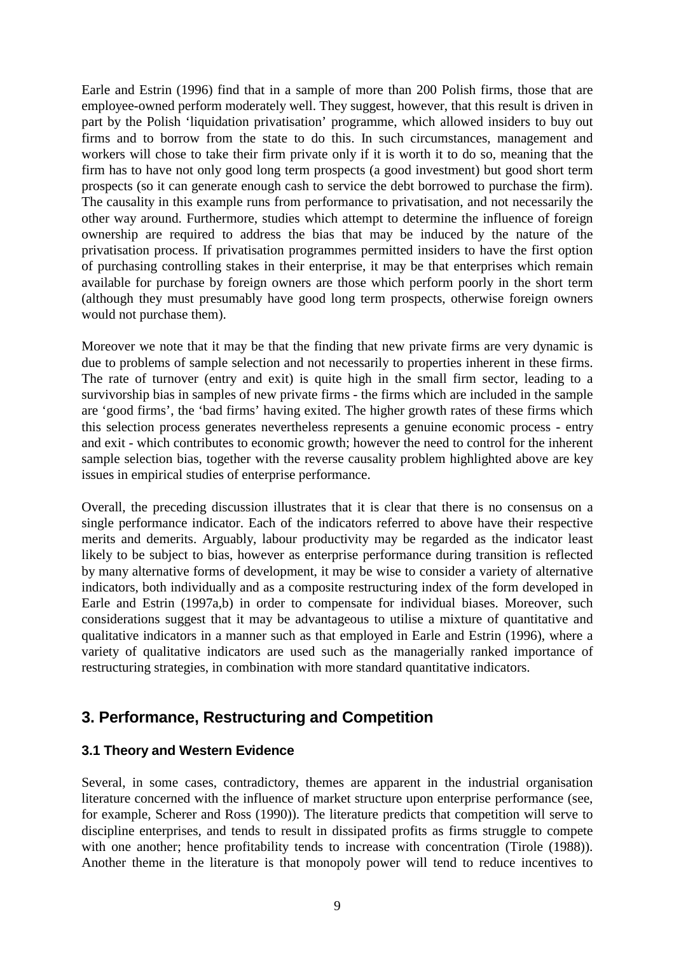Earle and Estrin (1996) find that in a sample of more than 200 Polish firms, those that are employee-owned perform moderately well. They suggest, however, that this result is driven in part by the Polish 'liquidation privatisation' programme, which allowed insiders to buy out firms and to borrow from the state to do this. In such circumstances, management and workers will chose to take their firm private only if it is worth it to do so, meaning that the firm has to have not only good long term prospects (a good investment) but good short term prospects (so it can generate enough cash to service the debt borrowed to purchase the firm). The causality in this example runs from performance to privatisation, and not necessarily the other way around. Furthermore, studies which attempt to determine the influence of foreign ownership are required to address the bias that may be induced by the nature of the privatisation process. If privatisation programmes permitted insiders to have the first option of purchasing controlling stakes in their enterprise, it may be that enterprises which remain available for purchase by foreign owners are those which perform poorly in the short term (although they must presumably have good long term prospects, otherwise foreign owners would not purchase them).

Moreover we note that it may be that the finding that new private firms are very dynamic is due to problems of sample selection and not necessarily to properties inherent in these firms. The rate of turnover (entry and exit) is quite high in the small firm sector, leading to a survivorship bias in samples of new private firms - the firms which are included in the sample are 'good firms', the 'bad firms' having exited. The higher growth rates of these firms which this selection process generates nevertheless represents a genuine economic process - entry and exit - which contributes to economic growth; however the need to control for the inherent sample selection bias, together with the reverse causality problem highlighted above are key issues in empirical studies of enterprise performance.

Overall, the preceding discussion illustrates that it is clear that there is no consensus on a single performance indicator. Each of the indicators referred to above have their respective merits and demerits. Arguably, labour productivity may be regarded as the indicator least likely to be subject to bias, however as enterprise performance during transition is reflected by many alternative forms of development, it may be wise to consider a variety of alternative indicators, both individually and as a composite restructuring index of the form developed in Earle and Estrin (1997a,b) in order to compensate for individual biases. Moreover, such considerations suggest that it may be advantageous to utilise a mixture of quantitative and qualitative indicators in a manner such as that employed in Earle and Estrin (1996), where a variety of qualitative indicators are used such as the managerially ranked importance of restructuring strategies, in combination with more standard quantitative indicators.

# **3. Performance, Restructuring and Competition**

### **3.1 Theory and Western Evidence**

Several, in some cases, contradictory, themes are apparent in the industrial organisation literature concerned with the influence of market structure upon enterprise performance (see, for example, Scherer and Ross (1990)). The literature predicts that competition will serve to discipline enterprises, and tends to result in dissipated profits as firms struggle to compete with one another; hence profitability tends to increase with concentration (Tirole  $(1988)$ ). Another theme in the literature is that monopoly power will tend to reduce incentives to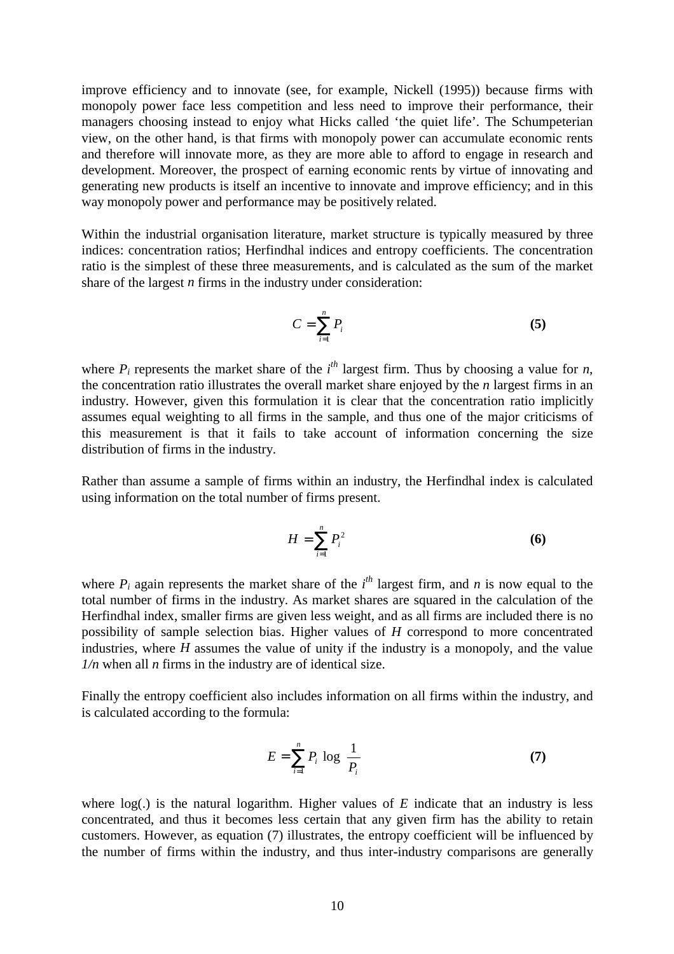improve efficiency and to innovate (see, for example, Nickell (1995)) because firms with monopoly power face less competition and less need to improve their performance, their managers choosing instead to enjoy what Hicks called 'the quiet life'. The Schumpeterian view, on the other hand, is that firms with monopoly power can accumulate economic rents and therefore will innovate more, as they are more able to afford to engage in research and development. Moreover, the prospect of earning economic rents by virtue of innovating and generating new products is itself an incentive to innovate and improve efficiency; and in this way monopoly power and performance may be positively related.

Within the industrial organisation literature, market structure is typically measured by three indices: concentration ratios; Herfindhal indices and entropy coefficients. The concentration ratio is the simplest of these three measurements, and is calculated as the sum of the market share of the largest *n* firms in the industry under consideration:

$$
C = \sum_{i=1}^{n} P_i
$$
 (5)

where  $P_i$  represents the market share of the  $i^{th}$  largest firm. Thus by choosing a value for *n*, the concentration ratio illustrates the overall market share enjoyed by the *n* largest firms in an industry. However, given this formulation it is clear that the concentration ratio implicitly assumes equal weighting to all firms in the sample, and thus one of the major criticisms of this measurement is that it fails to take account of information concerning the size distribution of firms in the industry.

Rather than assume a sample of firms within an industry, the Herfindhal index is calculated using information on the total number of firms present.

$$
H = \sum_{i=1}^{n} P_i^2 \tag{6}
$$

where  $P_i$  again represents the market share of the  $i<sup>th</sup>$  largest firm, and *n* is now equal to the total number of firms in the industry. As market shares are squared in the calculation of the Herfindhal index, smaller firms are given less weight, and as all firms are included there is no possibility of sample selection bias. Higher values of *H* correspond to more concentrated industries, where *H* assumes the value of unity if the industry is a monopoly, and the value *1/n* when all *n* firms in the industry are of identical size.

Finally the entropy coefficient also includes information on all firms within the industry, and is calculated according to the formula:

$$
E = \sum_{i=1}^{n} P_i \log \left( \frac{1}{P_i} \right) \tag{7}
$$

where  $log(.)$  is the natural logarithm. Higher values of  $E$  indicate that an industry is less concentrated, and thus it becomes less certain that any given firm has the ability to retain customers. However, as equation (7) illustrates, the entropy coefficient will be influenced by the number of firms within the industry, and thus inter-industry comparisons are generally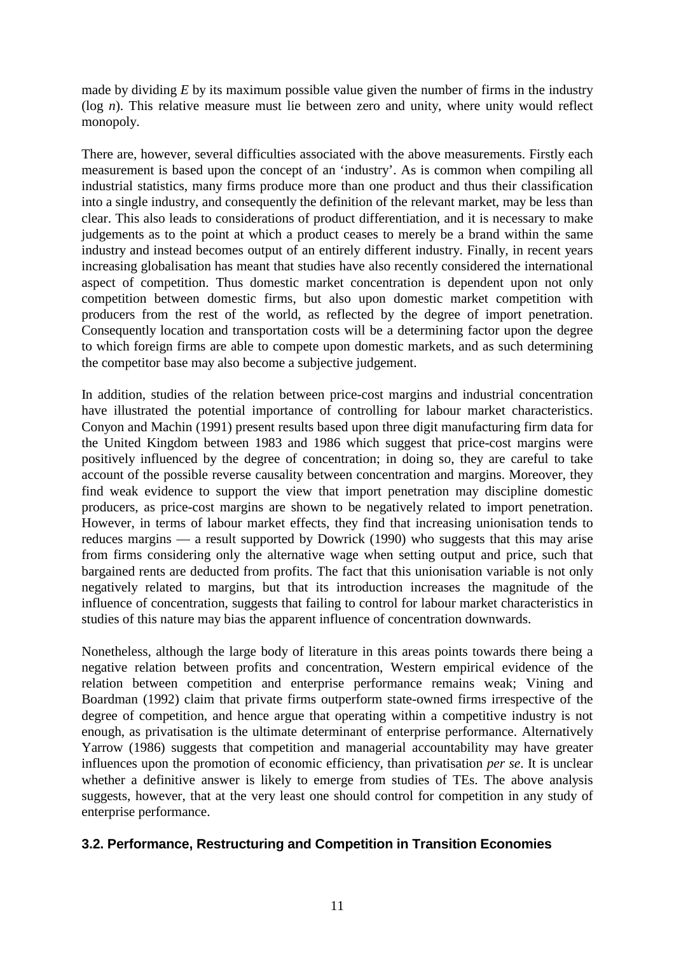made by dividing *E* by its maximum possible value given the number of firms in the industry (log *n*). This relative measure must lie between zero and unity, where unity would reflect monopoly.

There are, however, several difficulties associated with the above measurements. Firstly each measurement is based upon the concept of an 'industry'. As is common when compiling all industrial statistics, many firms produce more than one product and thus their classification into a single industry, and consequently the definition of the relevant market, may be less than clear. This also leads to considerations of product differentiation, and it is necessary to make judgements as to the point at which a product ceases to merely be a brand within the same industry and instead becomes output of an entirely different industry. Finally, in recent years increasing globalisation has meant that studies have also recently considered the international aspect of competition. Thus domestic market concentration is dependent upon not only competition between domestic firms, but also upon domestic market competition with producers from the rest of the world, as reflected by the degree of import penetration. Consequently location and transportation costs will be a determining factor upon the degree to which foreign firms are able to compete upon domestic markets, and as such determining the competitor base may also become a subjective judgement.

In addition, studies of the relation between price-cost margins and industrial concentration have illustrated the potential importance of controlling for labour market characteristics. Conyon and Machin (1991) present results based upon three digit manufacturing firm data for the United Kingdom between 1983 and 1986 which suggest that price-cost margins were positively influenced by the degree of concentration; in doing so, they are careful to take account of the possible reverse causality between concentration and margins. Moreover, they find weak evidence to support the view that import penetration may discipline domestic producers, as price-cost margins are shown to be negatively related to import penetration. However, in terms of labour market effects, they find that increasing unionisation tends to reduces margins — a result supported by Dowrick (1990) who suggests that this may arise from firms considering only the alternative wage when setting output and price, such that bargained rents are deducted from profits. The fact that this unionisation variable is not only negatively related to margins, but that its introduction increases the magnitude of the influence of concentration, suggests that failing to control for labour market characteristics in studies of this nature may bias the apparent influence of concentration downwards.

Nonetheless, although the large body of literature in this areas points towards there being a negative relation between profits and concentration, Western empirical evidence of the relation between competition and enterprise performance remains weak; Vining and Boardman (1992) claim that private firms outperform state-owned firms irrespective of the degree of competition, and hence argue that operating within a competitive industry is not enough, as privatisation is the ultimate determinant of enterprise performance. Alternatively Yarrow (1986) suggests that competition and managerial accountability may have greater influences upon the promotion of economic efficiency, than privatisation *per se*. It is unclear whether a definitive answer is likely to emerge from studies of TEs. The above analysis suggests, however, that at the very least one should control for competition in any study of enterprise performance.

### **3.2. Performance, Restructuring and Competition in Transition Economies**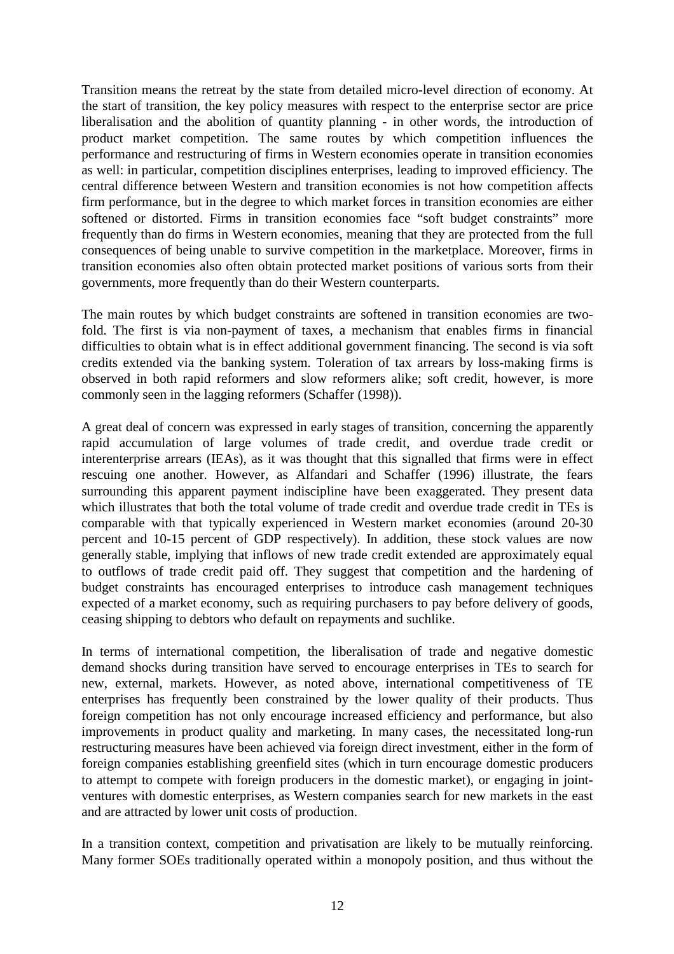Transition means the retreat by the state from detailed micro-level direction of economy. At the start of transition, the key policy measures with respect to the enterprise sector are price liberalisation and the abolition of quantity planning - in other words, the introduction of product market competition. The same routes by which competition influences the performance and restructuring of firms in Western economies operate in transition economies as well: in particular, competition disciplines enterprises, leading to improved efficiency. The central difference between Western and transition economies is not how competition affects firm performance, but in the degree to which market forces in transition economies are either softened or distorted. Firms in transition economies face "soft budget constraints" more frequently than do firms in Western economies, meaning that they are protected from the full consequences of being unable to survive competition in the marketplace. Moreover, firms in transition economies also often obtain protected market positions of various sorts from their governments, more frequently than do their Western counterparts.

The main routes by which budget constraints are softened in transition economies are twofold. The first is via non-payment of taxes, a mechanism that enables firms in financial difficulties to obtain what is in effect additional government financing. The second is via soft credits extended via the banking system. Toleration of tax arrears by loss-making firms is observed in both rapid reformers and slow reformers alike; soft credit, however, is more commonly seen in the lagging reformers (Schaffer (1998)).

A great deal of concern was expressed in early stages of transition, concerning the apparently rapid accumulation of large volumes of trade credit, and overdue trade credit or interenterprise arrears (IEAs), as it was thought that this signalled that firms were in effect rescuing one another. However, as Alfandari and Schaffer (1996) illustrate, the fears surrounding this apparent payment indiscipline have been exaggerated. They present data which illustrates that both the total volume of trade credit and overdue trade credit in TEs is comparable with that typically experienced in Western market economies (around 20-30 percent and 10-15 percent of GDP respectively). In addition, these stock values are now generally stable, implying that inflows of new trade credit extended are approximately equal to outflows of trade credit paid off. They suggest that competition and the hardening of budget constraints has encouraged enterprises to introduce cash management techniques expected of a market economy, such as requiring purchasers to pay before delivery of goods, ceasing shipping to debtors who default on repayments and suchlike.

In terms of international competition, the liberalisation of trade and negative domestic demand shocks during transition have served to encourage enterprises in TEs to search for new, external, markets. However, as noted above, international competitiveness of TE enterprises has frequently been constrained by the lower quality of their products. Thus foreign competition has not only encourage increased efficiency and performance, but also improvements in product quality and marketing. In many cases, the necessitated long-run restructuring measures have been achieved via foreign direct investment, either in the form of foreign companies establishing greenfield sites (which in turn encourage domestic producers to attempt to compete with foreign producers in the domestic market), or engaging in jointventures with domestic enterprises, as Western companies search for new markets in the east and are attracted by lower unit costs of production.

In a transition context, competition and privatisation are likely to be mutually reinforcing. Many former SOEs traditionally operated within a monopoly position, and thus without the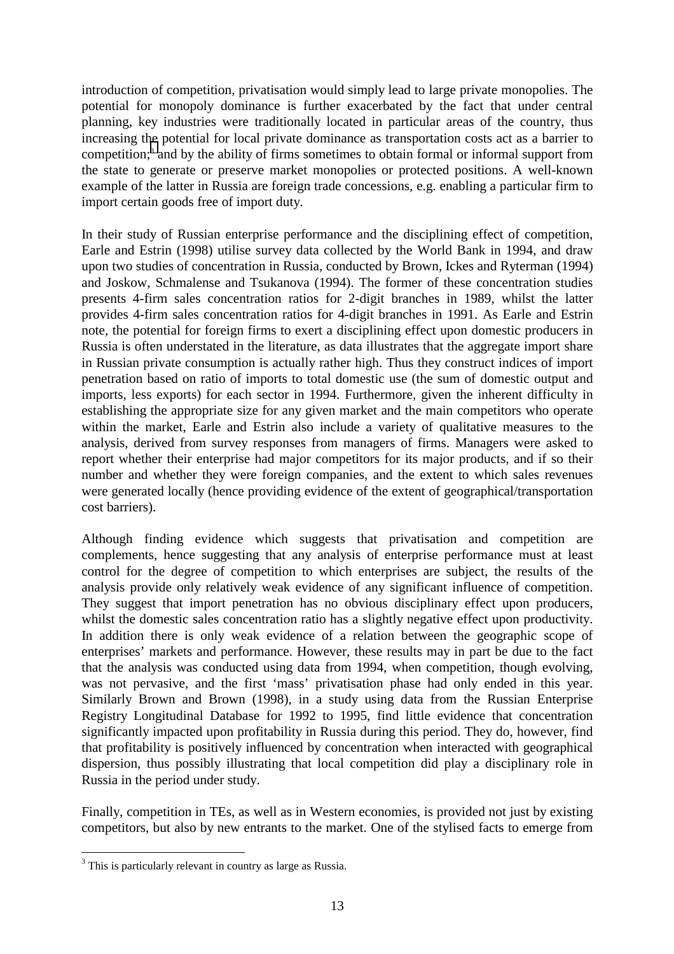introduction of competition, privatisation would simply lead to large private monopolies. The potential for monopoly dominance is further exacerbated by the fact that under central planning, key industries were traditionally located in particular areas of the country, thus increasing the potential for local private dominance as transportation costs act as a barrier to competition;<sup>3</sup> and by the ability of firms sometimes to obtain formal or informal support from the state to generate or preserve market monopolies or protected positions. A well-known example of the latter in Russia are foreign trade concessions, e.g. enabling a particular firm to import certain goods free of import duty.

In their study of Russian enterprise performance and the disciplining effect of competition, Earle and Estrin (1998) utilise survey data collected by the World Bank in 1994, and draw upon two studies of concentration in Russia, conducted by Brown, Ickes and Ryterman (1994) and Joskow, Schmalense and Tsukanova (1994). The former of these concentration studies presents 4-firm sales concentration ratios for 2-digit branches in 1989, whilst the latter provides 4-firm sales concentration ratios for 4-digit branches in 1991. As Earle and Estrin note, the potential for foreign firms to exert a disciplining effect upon domestic producers in Russia is often understated in the literature, as data illustrates that the aggregate import share in Russian private consumption is actually rather high. Thus they construct indices of import penetration based on ratio of imports to total domestic use (the sum of domestic output and imports, less exports) for each sector in 1994. Furthermore, given the inherent difficulty in establishing the appropriate size for any given market and the main competitors who operate within the market, Earle and Estrin also include a variety of qualitative measures to the analysis, derived from survey responses from managers of firms. Managers were asked to report whether their enterprise had major competitors for its major products, and if so their number and whether they were foreign companies, and the extent to which sales revenues were generated locally (hence providing evidence of the extent of geographical/transportation cost barriers).

Although finding evidence which suggests that privatisation and competition are complements, hence suggesting that any analysis of enterprise performance must at least control for the degree of competition to which enterprises are subject, the results of the analysis provide only relatively weak evidence of any significant influence of competition. They suggest that import penetration has no obvious disciplinary effect upon producers, whilst the domestic sales concentration ratio has a slightly negative effect upon productivity. In addition there is only weak evidence of a relation between the geographic scope of enterprises' markets and performance. However, these results may in part be due to the fact that the analysis was conducted using data from 1994, when competition, though evolving, was not pervasive, and the first 'mass' privatisation phase had only ended in this year. Similarly Brown and Brown (1998), in a study using data from the Russian Enterprise Registry Longitudinal Database for 1992 to 1995, find little evidence that concentration significantly impacted upon profitability in Russia during this period. They do, however, find that profitability is positively influenced by concentration when interacted with geographical dispersion, thus possibly illustrating that local competition did play a disciplinary role in Russia in the period under study.

Finally, competition in TEs, as well as in Western economies, is provided not just by existing competitors, but also by new entrants to the market. One of the stylised facts to emerge from

<sup>&</sup>lt;sup>3</sup> This is particularly relevant in country as large as Russia.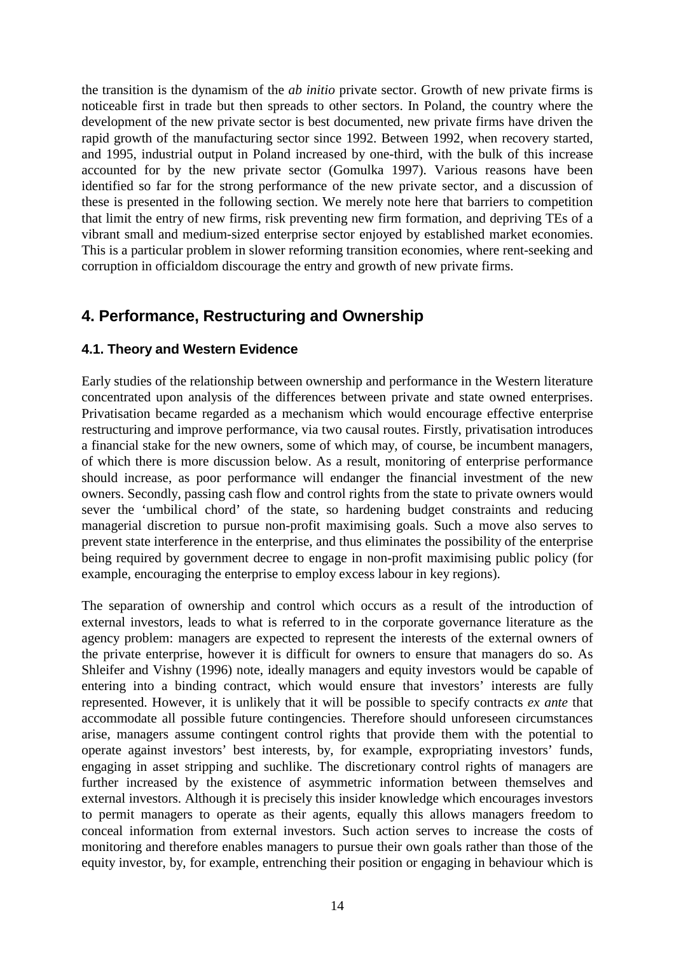the transition is the dynamism of the *ab initio* private sector. Growth of new private firms is noticeable first in trade but then spreads to other sectors. In Poland, the country where the development of the new private sector is best documented, new private firms have driven the rapid growth of the manufacturing sector since 1992. Between 1992, when recovery started, and 1995, industrial output in Poland increased by one-third, with the bulk of this increase accounted for by the new private sector (Gomulka 1997). Various reasons have been identified so far for the strong performance of the new private sector, and a discussion of these is presented in the following section. We merely note here that barriers to competition that limit the entry of new firms, risk preventing new firm formation, and depriving TEs of a vibrant small and medium-sized enterprise sector enjoyed by established market economies. This is a particular problem in slower reforming transition economies, where rent-seeking and corruption in officialdom discourage the entry and growth of new private firms.

# **4. Performance, Restructuring and Ownership**

#### **4.1. Theory and Western Evidence**

Early studies of the relationship between ownership and performance in the Western literature concentrated upon analysis of the differences between private and state owned enterprises. Privatisation became regarded as a mechanism which would encourage effective enterprise restructuring and improve performance, via two causal routes. Firstly, privatisation introduces a financial stake for the new owners, some of which may, of course, be incumbent managers, of which there is more discussion below. As a result, monitoring of enterprise performance should increase, as poor performance will endanger the financial investment of the new owners. Secondly, passing cash flow and control rights from the state to private owners would sever the 'umbilical chord' of the state, so hardening budget constraints and reducing managerial discretion to pursue non-profit maximising goals. Such a move also serves to prevent state interference in the enterprise, and thus eliminates the possibility of the enterprise being required by government decree to engage in non-profit maximising public policy (for example, encouraging the enterprise to employ excess labour in key regions).

The separation of ownership and control which occurs as a result of the introduction of external investors, leads to what is referred to in the corporate governance literature as the agency problem: managers are expected to represent the interests of the external owners of the private enterprise, however it is difficult for owners to ensure that managers do so. As Shleifer and Vishny (1996) note, ideally managers and equity investors would be capable of entering into a binding contract, which would ensure that investors' interests are fully represented. However, it is unlikely that it will be possible to specify contracts *ex ante* that accommodate all possible future contingencies. Therefore should unforeseen circumstances arise, managers assume contingent control rights that provide them with the potential to operate against investors' best interests, by, for example, expropriating investors' funds, engaging in asset stripping and suchlike. The discretionary control rights of managers are further increased by the existence of asymmetric information between themselves and external investors. Although it is precisely this insider knowledge which encourages investors to permit managers to operate as their agents, equally this allows managers freedom to conceal information from external investors. Such action serves to increase the costs of monitoring and therefore enables managers to pursue their own goals rather than those of the equity investor, by, for example, entrenching their position or engaging in behaviour which is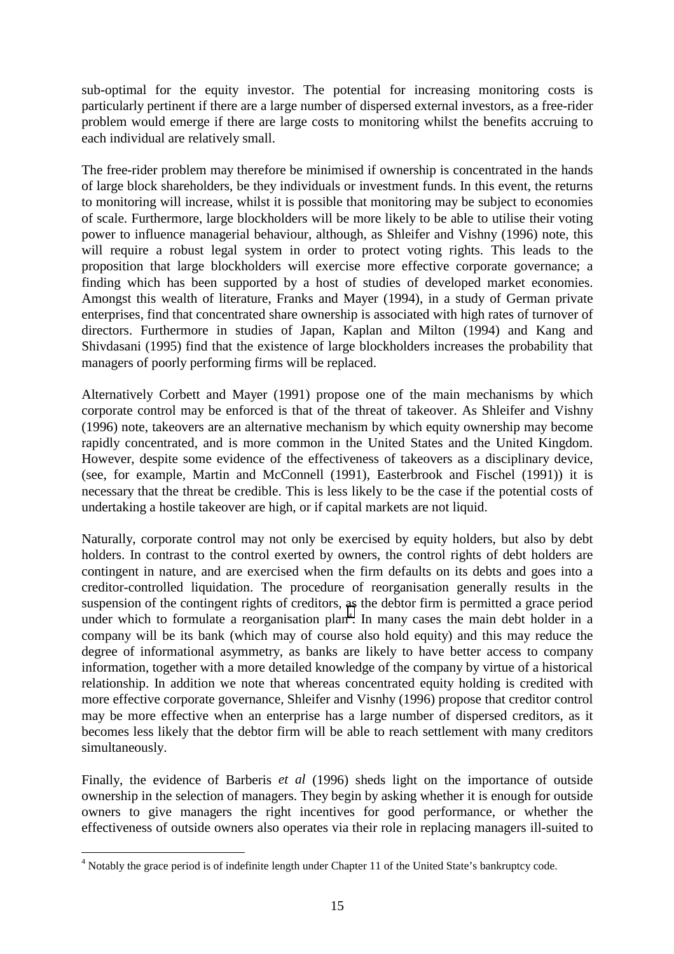sub-optimal for the equity investor. The potential for increasing monitoring costs is particularly pertinent if there are a large number of dispersed external investors, as a free-rider problem would emerge if there are large costs to monitoring whilst the benefits accruing to each individual are relatively small.

The free-rider problem may therefore be minimised if ownership is concentrated in the hands of large block shareholders, be they individuals or investment funds. In this event, the returns to monitoring will increase, whilst it is possible that monitoring may be subject to economies of scale. Furthermore, large blockholders will be more likely to be able to utilise their voting power to influence managerial behaviour, although, as Shleifer and Vishny (1996) note, this will require a robust legal system in order to protect voting rights. This leads to the proposition that large blockholders will exercise more effective corporate governance; a finding which has been supported by a host of studies of developed market economies. Amongst this wealth of literature, Franks and Mayer (1994), in a study of German private enterprises, find that concentrated share ownership is associated with high rates of turnover of directors. Furthermore in studies of Japan, Kaplan and Milton (1994) and Kang and Shivdasani (1995) find that the existence of large blockholders increases the probability that managers of poorly performing firms will be replaced.

Alternatively Corbett and Mayer (1991) propose one of the main mechanisms by which corporate control may be enforced is that of the threat of takeover. As Shleifer and Vishny (1996) note, takeovers are an alternative mechanism by which equity ownership may become rapidly concentrated, and is more common in the United States and the United Kingdom. However, despite some evidence of the effectiveness of takeovers as a disciplinary device, (see, for example, Martin and McConnell (1991), Easterbrook and Fischel (1991)) it is necessary that the threat be credible. This is less likely to be the case if the potential costs of undertaking a hostile takeover are high, or if capital markets are not liquid.

Naturally, corporate control may not only be exercised by equity holders, but also by debt holders. In contrast to the control exerted by owners, the control rights of debt holders are contingent in nature, and are exercised when the firm defaults on its debts and goes into a creditor-controlled liquidation. The procedure of reorganisation generally results in the suspension of the contingent rights of creditors, as the debtor firm is permitted a grace period under which to formulate a reorganisation plan<sup>4</sup>. In many cases the main debt holder in a company will be its bank (which may of course also hold equity) and this may reduce the degree of informational asymmetry, as banks are likely to have better access to company information, together with a more detailed knowledge of the company by virtue of a historical relationship. In addition we note that whereas concentrated equity holding is credited with more effective corporate governance, Shleifer and Visnhy (1996) propose that creditor control may be more effective when an enterprise has a large number of dispersed creditors, as it becomes less likely that the debtor firm will be able to reach settlement with many creditors simultaneously.

Finally, the evidence of Barberis *et al* (1996) sheds light on the importance of outside ownership in the selection of managers. They begin by asking whether it is enough for outside owners to give managers the right incentives for good performance, or whether the effectiveness of outside owners also operates via their role in replacing managers ill-suited to

 $\overline{a}$ 

<sup>&</sup>lt;sup>4</sup> Notably the grace period is of indefinite length under Chapter 11 of the United State's bankruptcy code.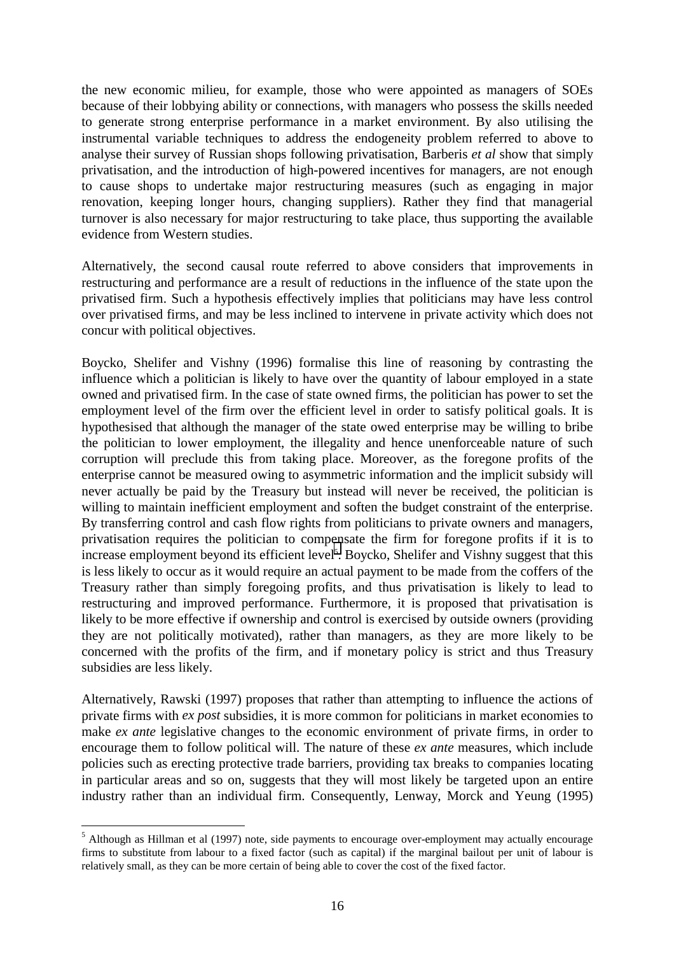the new economic milieu, for example, those who were appointed as managers of SOEs because of their lobbying ability or connections, with managers who possess the skills needed to generate strong enterprise performance in a market environment. By also utilising the instrumental variable techniques to address the endogeneity problem referred to above to analyse their survey of Russian shops following privatisation, Barberis *et al* show that simply privatisation, and the introduction of high-powered incentives for managers, are not enough to cause shops to undertake major restructuring measures (such as engaging in major renovation, keeping longer hours, changing suppliers). Rather they find that managerial turnover is also necessary for major restructuring to take place, thus supporting the available evidence from Western studies.

Alternatively, the second causal route referred to above considers that improvements in restructuring and performance are a result of reductions in the influence of the state upon the privatised firm. Such a hypothesis effectively implies that politicians may have less control over privatised firms, and may be less inclined to intervene in private activity which does not concur with political objectives.

Boycko, Shelifer and Vishny (1996) formalise this line of reasoning by contrasting the influence which a politician is likely to have over the quantity of labour employed in a state owned and privatised firm. In the case of state owned firms, the politician has power to set the employment level of the firm over the efficient level in order to satisfy political goals. It is hypothesised that although the manager of the state owed enterprise may be willing to bribe the politician to lower employment, the illegality and hence unenforceable nature of such corruption will preclude this from taking place. Moreover, as the foregone profits of the enterprise cannot be measured owing to asymmetric information and the implicit subsidy will never actually be paid by the Treasury but instead will never be received, the politician is willing to maintain inefficient employment and soften the budget constraint of the enterprise. By transferring control and cash flow rights from politicians to private owners and managers, privatisation requires the politician to compensate the firm for foregone profits if it is to increase employment beyond its efficient level<sup>5</sup>. Boycko, Shelifer and Vishny suggest that this is less likely to occur as it would require an actual payment to be made from the coffers of the Treasury rather than simply foregoing profits, and thus privatisation is likely to lead to restructuring and improved performance. Furthermore, it is proposed that privatisation is likely to be more effective if ownership and control is exercised by outside owners (providing they are not politically motivated), rather than managers, as they are more likely to be concerned with the profits of the firm, and if monetary policy is strict and thus Treasury subsidies are less likely.

Alternatively, Rawski (1997) proposes that rather than attempting to influence the actions of private firms with *ex post* subsidies, it is more common for politicians in market economies to make *ex ante* legislative changes to the economic environment of private firms, in order to encourage them to follow political will. The nature of these *ex ante* measures, which include policies such as erecting protective trade barriers, providing tax breaks to companies locating in particular areas and so on, suggests that they will most likely be targeted upon an entire industry rather than an individual firm. Consequently, Lenway, Morck and Yeung (1995)

 $\overline{a}$ 

<sup>&</sup>lt;sup>5</sup> Although as Hillman et al (1997) note, side payments to encourage over-employment may actually encourage firms to substitute from labour to a fixed factor (such as capital) if the marginal bailout per unit of labour is relatively small, as they can be more certain of being able to cover the cost of the fixed factor.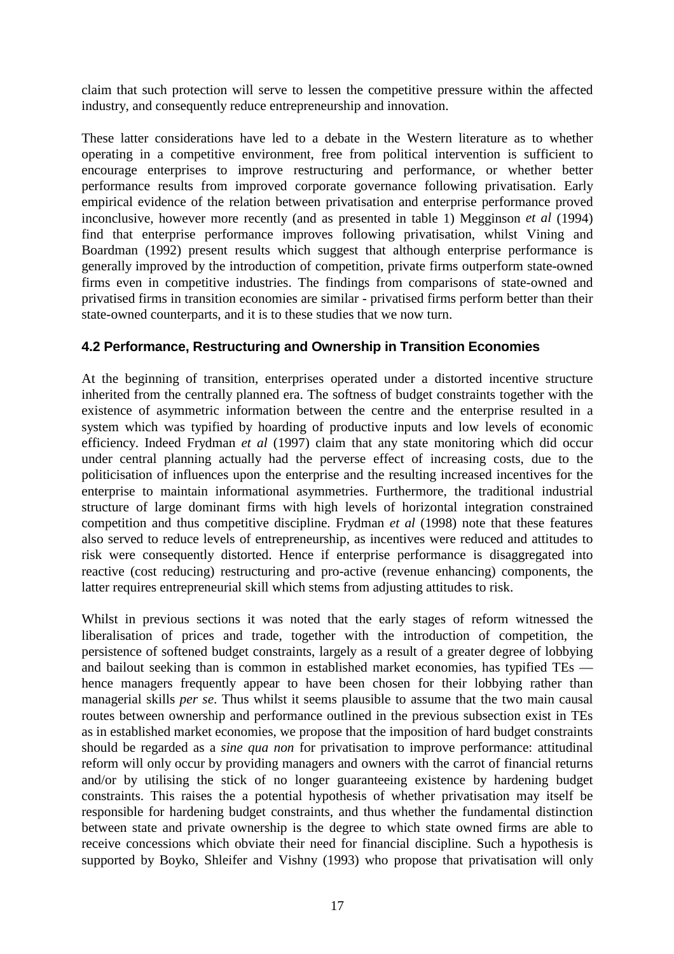claim that such protection will serve to lessen the competitive pressure within the affected industry, and consequently reduce entrepreneurship and innovation.

These latter considerations have led to a debate in the Western literature as to whether operating in a competitive environment, free from political intervention is sufficient to encourage enterprises to improve restructuring and performance, or whether better performance results from improved corporate governance following privatisation. Early empirical evidence of the relation between privatisation and enterprise performance proved inconclusive, however more recently (and as presented in table 1) Megginson *et al* (1994) find that enterprise performance improves following privatisation, whilst Vining and Boardman (1992) present results which suggest that although enterprise performance is generally improved by the introduction of competition, private firms outperform state-owned firms even in competitive industries. The findings from comparisons of state-owned and privatised firms in transition economies are similar - privatised firms perform better than their state-owned counterparts, and it is to these studies that we now turn.

## **4.2 Performance, Restructuring and Ownership in Transition Economies**

At the beginning of transition, enterprises operated under a distorted incentive structure inherited from the centrally planned era. The softness of budget constraints together with the existence of asymmetric information between the centre and the enterprise resulted in a system which was typified by hoarding of productive inputs and low levels of economic efficiency. Indeed Frydman *et al* (1997) claim that any state monitoring which did occur under central planning actually had the perverse effect of increasing costs, due to the politicisation of influences upon the enterprise and the resulting increased incentives for the enterprise to maintain informational asymmetries. Furthermore, the traditional industrial structure of large dominant firms with high levels of horizontal integration constrained competition and thus competitive discipline. Frydman *et al* (1998) note that these features also served to reduce levels of entrepreneurship, as incentives were reduced and attitudes to risk were consequently distorted. Hence if enterprise performance is disaggregated into reactive (cost reducing) restructuring and pro-active (revenue enhancing) components, the latter requires entrepreneurial skill which stems from adjusting attitudes to risk.

Whilst in previous sections it was noted that the early stages of reform witnessed the liberalisation of prices and trade, together with the introduction of competition, the persistence of softened budget constraints, largely as a result of a greater degree of lobbying and bailout seeking than is common in established market economies, has typified TEs hence managers frequently appear to have been chosen for their lobbying rather than managerial skills *per se*. Thus whilst it seems plausible to assume that the two main causal routes between ownership and performance outlined in the previous subsection exist in TEs as in established market economies, we propose that the imposition of hard budget constraints should be regarded as a *sine qua non* for privatisation to improve performance: attitudinal reform will only occur by providing managers and owners with the carrot of financial returns and/or by utilising the stick of no longer guaranteeing existence by hardening budget constraints. This raises the a potential hypothesis of whether privatisation may itself be responsible for hardening budget constraints, and thus whether the fundamental distinction between state and private ownership is the degree to which state owned firms are able to receive concessions which obviate their need for financial discipline. Such a hypothesis is supported by Boyko, Shleifer and Vishny (1993) who propose that privatisation will only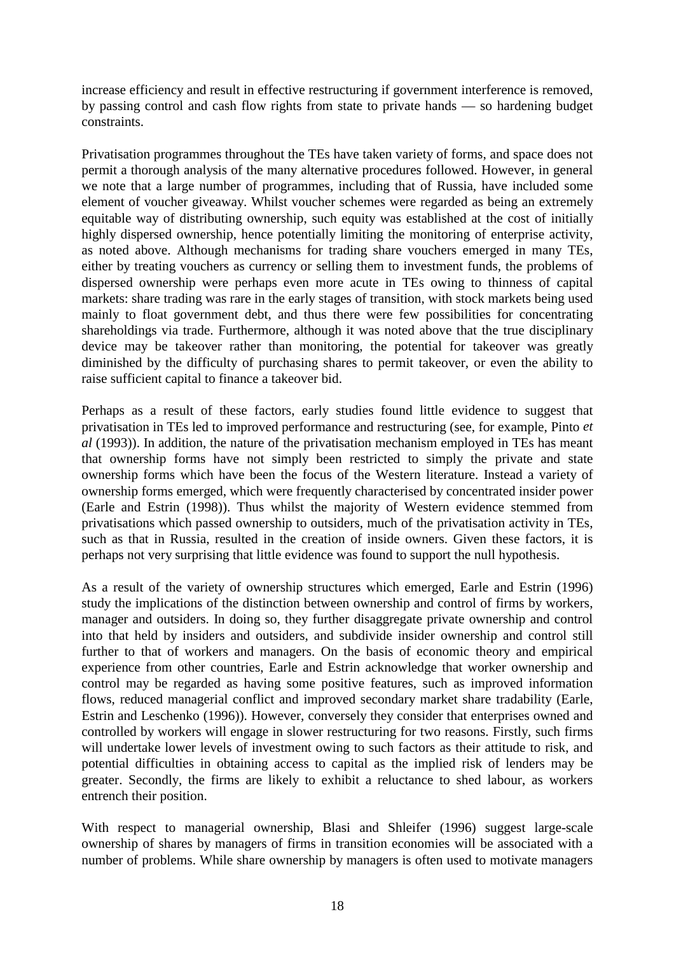increase efficiency and result in effective restructuring if government interference is removed, by passing control and cash flow rights from state to private hands — so hardening budget constraints.

Privatisation programmes throughout the TEs have taken variety of forms, and space does not permit a thorough analysis of the many alternative procedures followed. However, in general we note that a large number of programmes, including that of Russia, have included some element of voucher giveaway. Whilst voucher schemes were regarded as being an extremely equitable way of distributing ownership, such equity was established at the cost of initially highly dispersed ownership, hence potentially limiting the monitoring of enterprise activity, as noted above. Although mechanisms for trading share vouchers emerged in many TEs, either by treating vouchers as currency or selling them to investment funds, the problems of dispersed ownership were perhaps even more acute in TEs owing to thinness of capital markets: share trading was rare in the early stages of transition, with stock markets being used mainly to float government debt, and thus there were few possibilities for concentrating shareholdings via trade. Furthermore, although it was noted above that the true disciplinary device may be takeover rather than monitoring, the potential for takeover was greatly diminished by the difficulty of purchasing shares to permit takeover, or even the ability to raise sufficient capital to finance a takeover bid.

Perhaps as a result of these factors, early studies found little evidence to suggest that privatisation in TEs led to improved performance and restructuring (see, for example, Pinto *et al* (1993)). In addition, the nature of the privatisation mechanism employed in TEs has meant that ownership forms have not simply been restricted to simply the private and state ownership forms which have been the focus of the Western literature. Instead a variety of ownership forms emerged, which were frequently characterised by concentrated insider power (Earle and Estrin (1998)). Thus whilst the majority of Western evidence stemmed from privatisations which passed ownership to outsiders, much of the privatisation activity in TEs, such as that in Russia, resulted in the creation of inside owners. Given these factors, it is perhaps not very surprising that little evidence was found to support the null hypothesis.

As a result of the variety of ownership structures which emerged, Earle and Estrin (1996) study the implications of the distinction between ownership and control of firms by workers, manager and outsiders. In doing so, they further disaggregate private ownership and control into that held by insiders and outsiders, and subdivide insider ownership and control still further to that of workers and managers. On the basis of economic theory and empirical experience from other countries, Earle and Estrin acknowledge that worker ownership and control may be regarded as having some positive features, such as improved information flows, reduced managerial conflict and improved secondary market share tradability (Earle, Estrin and Leschenko (1996)). However, conversely they consider that enterprises owned and controlled by workers will engage in slower restructuring for two reasons. Firstly, such firms will undertake lower levels of investment owing to such factors as their attitude to risk, and potential difficulties in obtaining access to capital as the implied risk of lenders may be greater. Secondly, the firms are likely to exhibit a reluctance to shed labour, as workers entrench their position.

With respect to managerial ownership, Blasi and Shleifer (1996) suggest large-scale ownership of shares by managers of firms in transition economies will be associated with a number of problems. While share ownership by managers is often used to motivate managers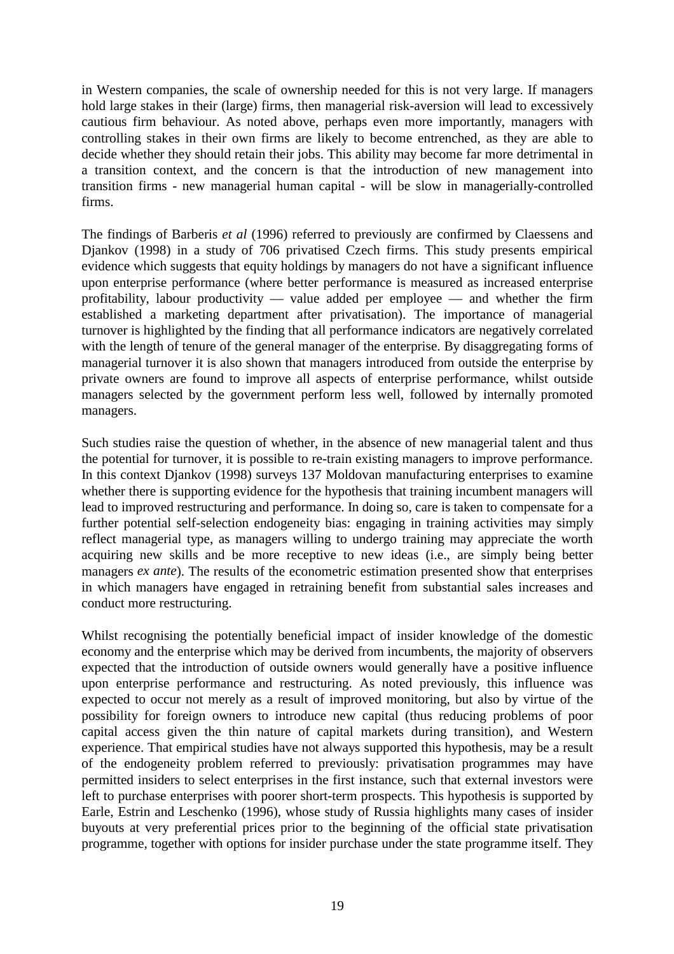in Western companies, the scale of ownership needed for this is not very large. If managers hold large stakes in their (large) firms, then managerial risk-aversion will lead to excessively cautious firm behaviour. As noted above, perhaps even more importantly, managers with controlling stakes in their own firms are likely to become entrenched, as they are able to decide whether they should retain their jobs. This ability may become far more detrimental in a transition context, and the concern is that the introduction of new management into transition firms - new managerial human capital - will be slow in managerially-controlled firms.

The findings of Barberis *et al* (1996) referred to previously are confirmed by Claessens and Djankov (1998) in a study of 706 privatised Czech firms. This study presents empirical evidence which suggests that equity holdings by managers do not have a significant influence upon enterprise performance (where better performance is measured as increased enterprise profitability, labour productivity — value added per employee — and whether the firm established a marketing department after privatisation). The importance of managerial turnover is highlighted by the finding that all performance indicators are negatively correlated with the length of tenure of the general manager of the enterprise. By disaggregating forms of managerial turnover it is also shown that managers introduced from outside the enterprise by private owners are found to improve all aspects of enterprise performance, whilst outside managers selected by the government perform less well, followed by internally promoted managers.

Such studies raise the question of whether, in the absence of new managerial talent and thus the potential for turnover, it is possible to re-train existing managers to improve performance. In this context Djankov (1998) surveys 137 Moldovan manufacturing enterprises to examine whether there is supporting evidence for the hypothesis that training incumbent managers will lead to improved restructuring and performance. In doing so, care is taken to compensate for a further potential self-selection endogeneity bias: engaging in training activities may simply reflect managerial type, as managers willing to undergo training may appreciate the worth acquiring new skills and be more receptive to new ideas (i.e., are simply being better managers *ex ante*). The results of the econometric estimation presented show that enterprises in which managers have engaged in retraining benefit from substantial sales increases and conduct more restructuring.

Whilst recognising the potentially beneficial impact of insider knowledge of the domestic economy and the enterprise which may be derived from incumbents, the majority of observers expected that the introduction of outside owners would generally have a positive influence upon enterprise performance and restructuring. As noted previously, this influence was expected to occur not merely as a result of improved monitoring, but also by virtue of the possibility for foreign owners to introduce new capital (thus reducing problems of poor capital access given the thin nature of capital markets during transition), and Western experience. That empirical studies have not always supported this hypothesis, may be a result of the endogeneity problem referred to previously: privatisation programmes may have permitted insiders to select enterprises in the first instance, such that external investors were left to purchase enterprises with poorer short-term prospects. This hypothesis is supported by Earle, Estrin and Leschenko (1996), whose study of Russia highlights many cases of insider buyouts at very preferential prices prior to the beginning of the official state privatisation programme, together with options for insider purchase under the state programme itself. They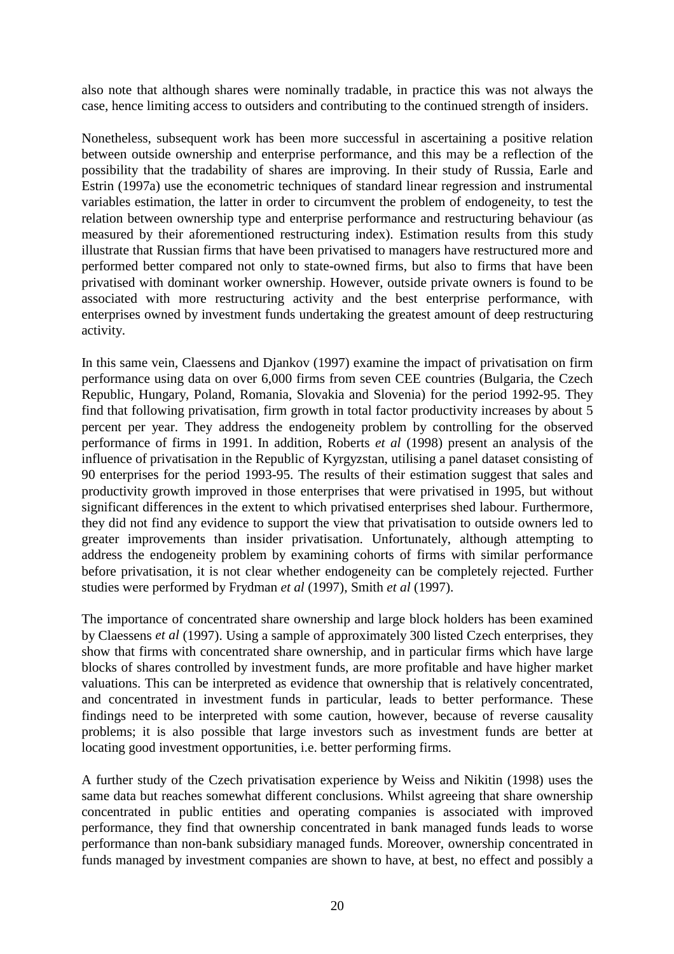also note that although shares were nominally tradable, in practice this was not always the case, hence limiting access to outsiders and contributing to the continued strength of insiders.

Nonetheless, subsequent work has been more successful in ascertaining a positive relation between outside ownership and enterprise performance, and this may be a reflection of the possibility that the tradability of shares are improving. In their study of Russia, Earle and Estrin (1997a) use the econometric techniques of standard linear regression and instrumental variables estimation, the latter in order to circumvent the problem of endogeneity, to test the relation between ownership type and enterprise performance and restructuring behaviour (as measured by their aforementioned restructuring index). Estimation results from this study illustrate that Russian firms that have been privatised to managers have restructured more and performed better compared not only to state-owned firms, but also to firms that have been privatised with dominant worker ownership. However, outside private owners is found to be associated with more restructuring activity and the best enterprise performance, with enterprises owned by investment funds undertaking the greatest amount of deep restructuring activity.

In this same vein, Claessens and Djankov (1997) examine the impact of privatisation on firm performance using data on over 6,000 firms from seven CEE countries (Bulgaria, the Czech Republic, Hungary, Poland, Romania, Slovakia and Slovenia) for the period 1992-95. They find that following privatisation, firm growth in total factor productivity increases by about 5 percent per year. They address the endogeneity problem by controlling for the observed performance of firms in 1991. In addition, Roberts *et al* (1998) present an analysis of the influence of privatisation in the Republic of Kyrgyzstan, utilising a panel dataset consisting of 90 enterprises for the period 1993-95. The results of their estimation suggest that sales and productivity growth improved in those enterprises that were privatised in 1995, but without significant differences in the extent to which privatised enterprises shed labour. Furthermore, they did not find any evidence to support the view that privatisation to outside owners led to greater improvements than insider privatisation. Unfortunately, although attempting to address the endogeneity problem by examining cohorts of firms with similar performance before privatisation, it is not clear whether endogeneity can be completely rejected. Further studies were performed by Frydman *et al* (1997), Smith *et al* (1997).

The importance of concentrated share ownership and large block holders has been examined by Claessens *et al* (1997). Using a sample of approximately 300 listed Czech enterprises, they show that firms with concentrated share ownership, and in particular firms which have large blocks of shares controlled by investment funds, are more profitable and have higher market valuations. This can be interpreted as evidence that ownership that is relatively concentrated, and concentrated in investment funds in particular, leads to better performance. These findings need to be interpreted with some caution, however, because of reverse causality problems; it is also possible that large investors such as investment funds are better at locating good investment opportunities, i.e. better performing firms.

A further study of the Czech privatisation experience by Weiss and Nikitin (1998) uses the same data but reaches somewhat different conclusions. Whilst agreeing that share ownership concentrated in public entities and operating companies is associated with improved performance, they find that ownership concentrated in bank managed funds leads to worse performance than non-bank subsidiary managed funds. Moreover, ownership concentrated in funds managed by investment companies are shown to have, at best, no effect and possibly a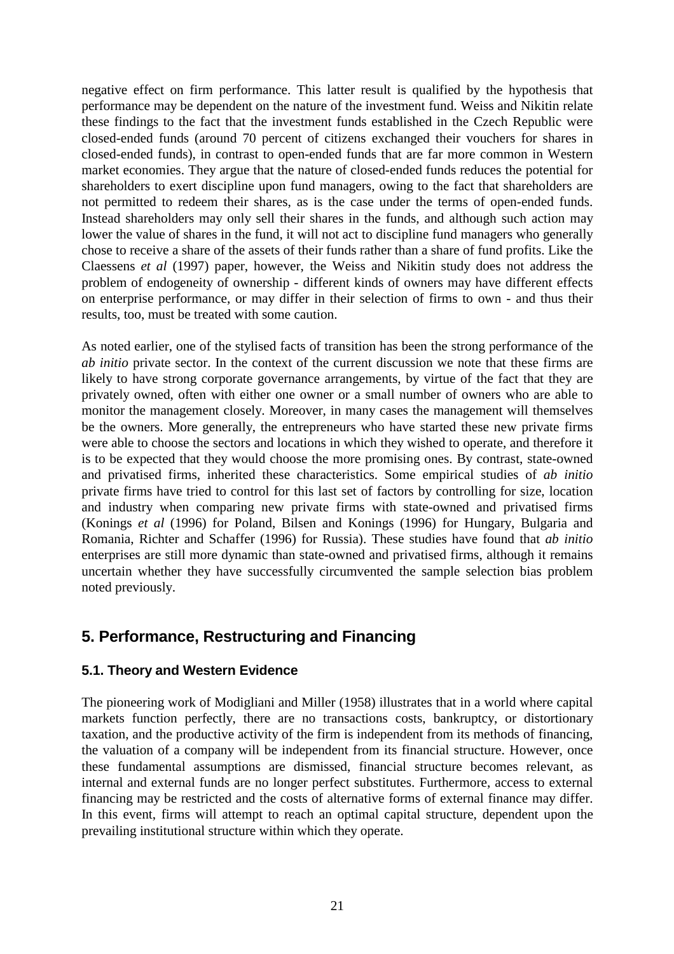negative effect on firm performance. This latter result is qualified by the hypothesis that performance may be dependent on the nature of the investment fund. Weiss and Nikitin relate these findings to the fact that the investment funds established in the Czech Republic were closed-ended funds (around 70 percent of citizens exchanged their vouchers for shares in closed-ended funds), in contrast to open-ended funds that are far more common in Western market economies. They argue that the nature of closed-ended funds reduces the potential for shareholders to exert discipline upon fund managers, owing to the fact that shareholders are not permitted to redeem their shares, as is the case under the terms of open-ended funds. Instead shareholders may only sell their shares in the funds, and although such action may lower the value of shares in the fund, it will not act to discipline fund managers who generally chose to receive a share of the assets of their funds rather than a share of fund profits. Like the Claessens *et al* (1997) paper, however, the Weiss and Nikitin study does not address the problem of endogeneity of ownership - different kinds of owners may have different effects on enterprise performance, or may differ in their selection of firms to own - and thus their results, too, must be treated with some caution.

As noted earlier, one of the stylised facts of transition has been the strong performance of the *ab initio* private sector. In the context of the current discussion we note that these firms are likely to have strong corporate governance arrangements, by virtue of the fact that they are privately owned, often with either one owner or a small number of owners who are able to monitor the management closely. Moreover, in many cases the management will themselves be the owners. More generally, the entrepreneurs who have started these new private firms were able to choose the sectors and locations in which they wished to operate, and therefore it is to be expected that they would choose the more promising ones. By contrast, state-owned and privatised firms, inherited these characteristics. Some empirical studies of *ab initio* private firms have tried to control for this last set of factors by controlling for size, location and industry when comparing new private firms with state-owned and privatised firms (Konings *et al* (1996) for Poland, Bilsen and Konings (1996) for Hungary, Bulgaria and Romania, Richter and Schaffer (1996) for Russia). These studies have found that *ab initio* enterprises are still more dynamic than state-owned and privatised firms, although it remains uncertain whether they have successfully circumvented the sample selection bias problem noted previously.

# **5. Performance, Restructuring and Financing**

### **5.1. Theory and Western Evidence**

The pioneering work of Modigliani and Miller (1958) illustrates that in a world where capital markets function perfectly, there are no transactions costs, bankruptcy, or distortionary taxation, and the productive activity of the firm is independent from its methods of financing, the valuation of a company will be independent from its financial structure. However, once these fundamental assumptions are dismissed, financial structure becomes relevant, as internal and external funds are no longer perfect substitutes. Furthermore, access to external financing may be restricted and the costs of alternative forms of external finance may differ. In this event, firms will attempt to reach an optimal capital structure, dependent upon the prevailing institutional structure within which they operate.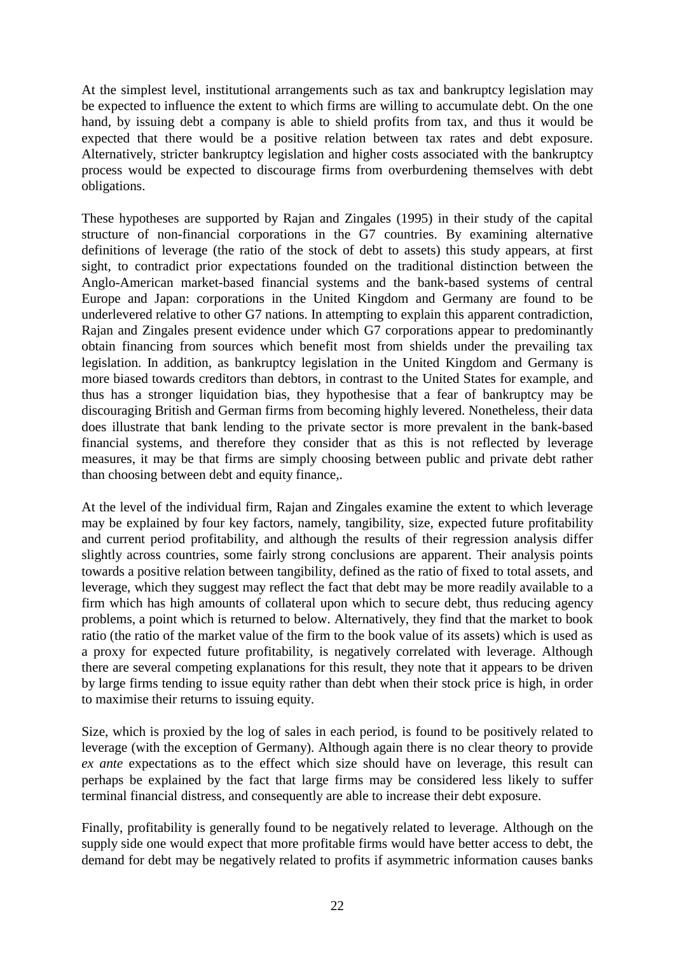At the simplest level, institutional arrangements such as tax and bankruptcy legislation may be expected to influence the extent to which firms are willing to accumulate debt. On the one hand, by issuing debt a company is able to shield profits from tax, and thus it would be expected that there would be a positive relation between tax rates and debt exposure. Alternatively, stricter bankruptcy legislation and higher costs associated with the bankruptcy process would be expected to discourage firms from overburdening themselves with debt obligations.

These hypotheses are supported by Rajan and Zingales (1995) in their study of the capital structure of non-financial corporations in the G7 countries. By examining alternative definitions of leverage (the ratio of the stock of debt to assets) this study appears, at first sight, to contradict prior expectations founded on the traditional distinction between the Anglo-American market-based financial systems and the bank-based systems of central Europe and Japan: corporations in the United Kingdom and Germany are found to be underlevered relative to other G7 nations. In attempting to explain this apparent contradiction, Rajan and Zingales present evidence under which G7 corporations appear to predominantly obtain financing from sources which benefit most from shields under the prevailing tax legislation. In addition, as bankruptcy legislation in the United Kingdom and Germany is more biased towards creditors than debtors, in contrast to the United States for example, and thus has a stronger liquidation bias, they hypothesise that a fear of bankruptcy may be discouraging British and German firms from becoming highly levered. Nonetheless, their data does illustrate that bank lending to the private sector is more prevalent in the bank-based financial systems, and therefore they consider that as this is not reflected by leverage measures, it may be that firms are simply choosing between public and private debt rather than choosing between debt and equity finance,.

At the level of the individual firm, Rajan and Zingales examine the extent to which leverage may be explained by four key factors, namely, tangibility, size, expected future profitability and current period profitability, and although the results of their regression analysis differ slightly across countries, some fairly strong conclusions are apparent. Their analysis points towards a positive relation between tangibility, defined as the ratio of fixed to total assets, and leverage, which they suggest may reflect the fact that debt may be more readily available to a firm which has high amounts of collateral upon which to secure debt, thus reducing agency problems, a point which is returned to below. Alternatively, they find that the market to book ratio (the ratio of the market value of the firm to the book value of its assets) which is used as a proxy for expected future profitability, is negatively correlated with leverage. Although there are several competing explanations for this result, they note that it appears to be driven by large firms tending to issue equity rather than debt when their stock price is high, in order to maximise their returns to issuing equity.

Size, which is proxied by the log of sales in each period, is found to be positively related to leverage (with the exception of Germany). Although again there is no clear theory to provide *ex ante* expectations as to the effect which size should have on leverage, this result can perhaps be explained by the fact that large firms may be considered less likely to suffer terminal financial distress, and consequently are able to increase their debt exposure.

Finally, profitability is generally found to be negatively related to leverage. Although on the supply side one would expect that more profitable firms would have better access to debt, the demand for debt may be negatively related to profits if asymmetric information causes banks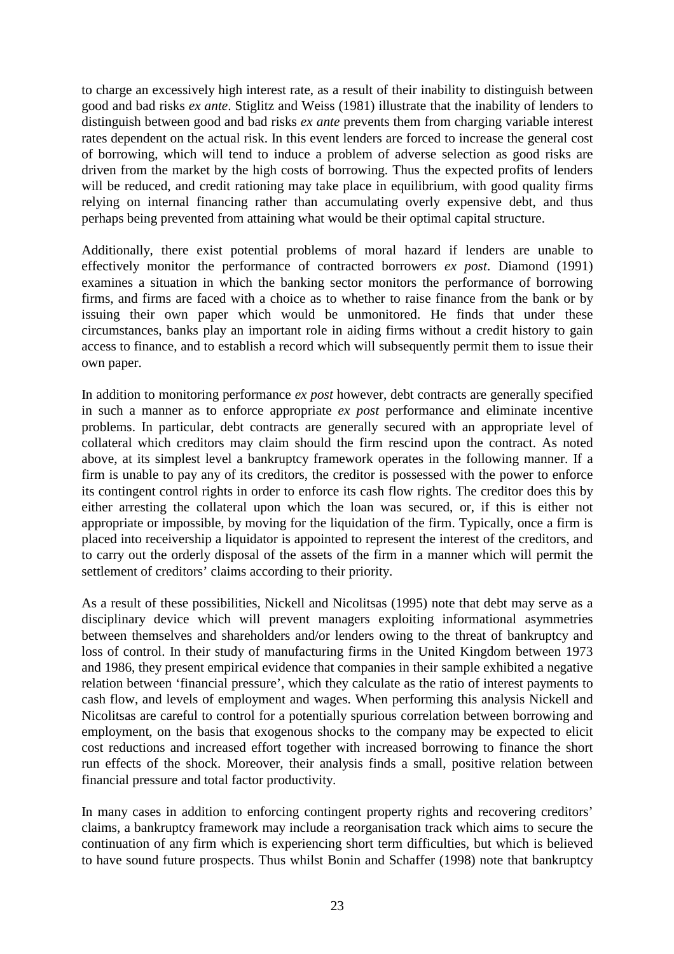to charge an excessively high interest rate, as a result of their inability to distinguish between good and bad risks *ex ante*. Stiglitz and Weiss (1981) illustrate that the inability of lenders to distinguish between good and bad risks *ex ante* prevents them from charging variable interest rates dependent on the actual risk. In this event lenders are forced to increase the general cost of borrowing, which will tend to induce a problem of adverse selection as good risks are driven from the market by the high costs of borrowing. Thus the expected profits of lenders will be reduced, and credit rationing may take place in equilibrium, with good quality firms relying on internal financing rather than accumulating overly expensive debt, and thus perhaps being prevented from attaining what would be their optimal capital structure.

Additionally, there exist potential problems of moral hazard if lenders are unable to effectively monitor the performance of contracted borrowers *ex post*. Diamond (1991) examines a situation in which the banking sector monitors the performance of borrowing firms, and firms are faced with a choice as to whether to raise finance from the bank or by issuing their own paper which would be unmonitored. He finds that under these circumstances, banks play an important role in aiding firms without a credit history to gain access to finance, and to establish a record which will subsequently permit them to issue their own paper.

In addition to monitoring performance *ex post* however, debt contracts are generally specified in such a manner as to enforce appropriate *ex post* performance and eliminate incentive problems. In particular, debt contracts are generally secured with an appropriate level of collateral which creditors may claim should the firm rescind upon the contract. As noted above, at its simplest level a bankruptcy framework operates in the following manner. If a firm is unable to pay any of its creditors, the creditor is possessed with the power to enforce its contingent control rights in order to enforce its cash flow rights. The creditor does this by either arresting the collateral upon which the loan was secured, or, if this is either not appropriate or impossible, by moving for the liquidation of the firm. Typically, once a firm is placed into receivership a liquidator is appointed to represent the interest of the creditors, and to carry out the orderly disposal of the assets of the firm in a manner which will permit the settlement of creditors' claims according to their priority.

As a result of these possibilities, Nickell and Nicolitsas (1995) note that debt may serve as a disciplinary device which will prevent managers exploiting informational asymmetries between themselves and shareholders and/or lenders owing to the threat of bankruptcy and loss of control. In their study of manufacturing firms in the United Kingdom between 1973 and 1986, they present empirical evidence that companies in their sample exhibited a negative relation between 'financial pressure', which they calculate as the ratio of interest payments to cash flow, and levels of employment and wages. When performing this analysis Nickell and Nicolitsas are careful to control for a potentially spurious correlation between borrowing and employment, on the basis that exogenous shocks to the company may be expected to elicit cost reductions and increased effort together with increased borrowing to finance the short run effects of the shock. Moreover, their analysis finds a small, positive relation between financial pressure and total factor productivity.

In many cases in addition to enforcing contingent property rights and recovering creditors' claims, a bankruptcy framework may include a reorganisation track which aims to secure the continuation of any firm which is experiencing short term difficulties, but which is believed to have sound future prospects. Thus whilst Bonin and Schaffer (1998) note that bankruptcy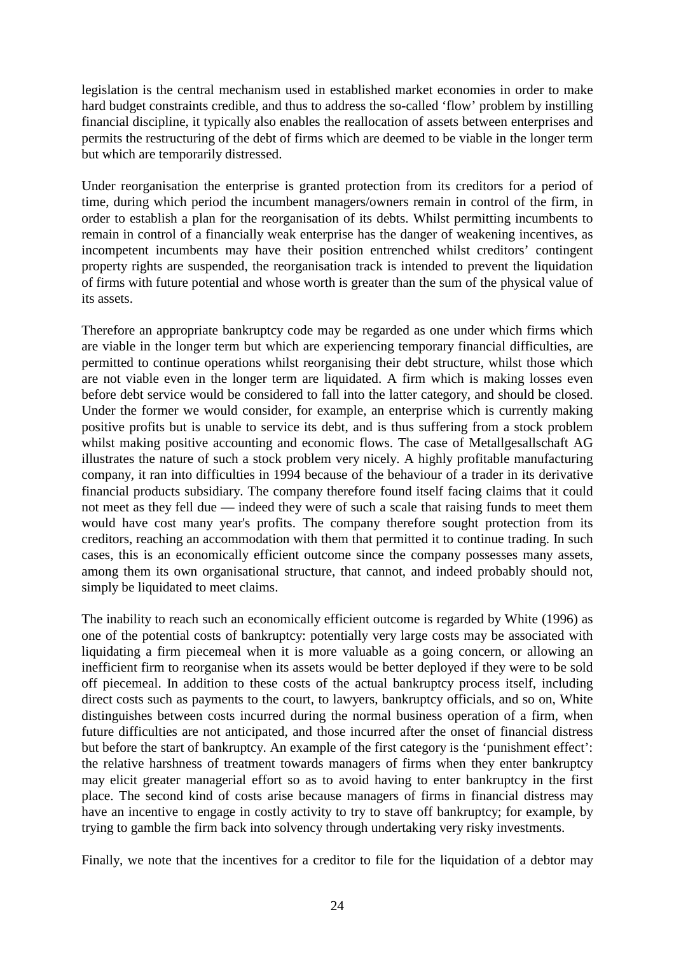legislation is the central mechanism used in established market economies in order to make hard budget constraints credible, and thus to address the so-called 'flow' problem by instilling financial discipline, it typically also enables the reallocation of assets between enterprises and permits the restructuring of the debt of firms which are deemed to be viable in the longer term but which are temporarily distressed.

Under reorganisation the enterprise is granted protection from its creditors for a period of time, during which period the incumbent managers/owners remain in control of the firm, in order to establish a plan for the reorganisation of its debts. Whilst permitting incumbents to remain in control of a financially weak enterprise has the danger of weakening incentives, as incompetent incumbents may have their position entrenched whilst creditors' contingent property rights are suspended, the reorganisation track is intended to prevent the liquidation of firms with future potential and whose worth is greater than the sum of the physical value of its assets.

Therefore an appropriate bankruptcy code may be regarded as one under which firms which are viable in the longer term but which are experiencing temporary financial difficulties, are permitted to continue operations whilst reorganising their debt structure, whilst those which are not viable even in the longer term are liquidated. A firm which is making losses even before debt service would be considered to fall into the latter category, and should be closed. Under the former we would consider, for example, an enterprise which is currently making positive profits but is unable to service its debt, and is thus suffering from a stock problem whilst making positive accounting and economic flows. The case of Metallgesallschaft AG illustrates the nature of such a stock problem very nicely. A highly profitable manufacturing company, it ran into difficulties in 1994 because of the behaviour of a trader in its derivative financial products subsidiary. The company therefore found itself facing claims that it could not meet as they fell due — indeed they were of such a scale that raising funds to meet them would have cost many year's profits. The company therefore sought protection from its creditors, reaching an accommodation with them that permitted it to continue trading. In such cases, this is an economically efficient outcome since the company possesses many assets, among them its own organisational structure, that cannot, and indeed probably should not, simply be liquidated to meet claims.

The inability to reach such an economically efficient outcome is regarded by White (1996) as one of the potential costs of bankruptcy: potentially very large costs may be associated with liquidating a firm piecemeal when it is more valuable as a going concern, or allowing an inefficient firm to reorganise when its assets would be better deployed if they were to be sold off piecemeal. In addition to these costs of the actual bankruptcy process itself, including direct costs such as payments to the court, to lawyers, bankruptcy officials, and so on, White distinguishes between costs incurred during the normal business operation of a firm, when future difficulties are not anticipated, and those incurred after the onset of financial distress but before the start of bankruptcy. An example of the first category is the 'punishment effect': the relative harshness of treatment towards managers of firms when they enter bankruptcy may elicit greater managerial effort so as to avoid having to enter bankruptcy in the first place. The second kind of costs arise because managers of firms in financial distress may have an incentive to engage in costly activity to try to stave off bankruptcy; for example, by trying to gamble the firm back into solvency through undertaking very risky investments.

Finally, we note that the incentives for a creditor to file for the liquidation of a debtor may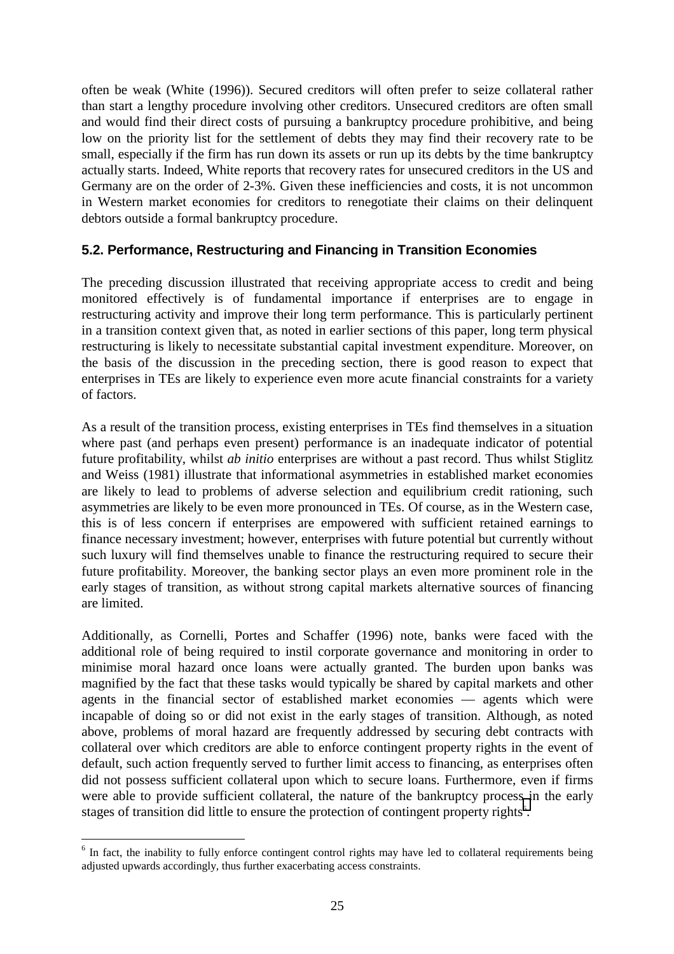often be weak (White (1996)). Secured creditors will often prefer to seize collateral rather than start a lengthy procedure involving other creditors. Unsecured creditors are often small and would find their direct costs of pursuing a bankruptcy procedure prohibitive, and being low on the priority list for the settlement of debts they may find their recovery rate to be small, especially if the firm has run down its assets or run up its debts by the time bankruptcy actually starts. Indeed, White reports that recovery rates for unsecured creditors in the US and Germany are on the order of 2-3%. Given these inefficiencies and costs, it is not uncommon in Western market economies for creditors to renegotiate their claims on their delinquent debtors outside a formal bankruptcy procedure.

## **5.2. Performance, Restructuring and Financing in Transition Economies**

The preceding discussion illustrated that receiving appropriate access to credit and being monitored effectively is of fundamental importance if enterprises are to engage in restructuring activity and improve their long term performance. This is particularly pertinent in a transition context given that, as noted in earlier sections of this paper, long term physical restructuring is likely to necessitate substantial capital investment expenditure. Moreover, on the basis of the discussion in the preceding section, there is good reason to expect that enterprises in TEs are likely to experience even more acute financial constraints for a variety of factors.

As a result of the transition process, existing enterprises in TEs find themselves in a situation where past (and perhaps even present) performance is an inadequate indicator of potential future profitability, whilst *ab initio* enterprises are without a past record. Thus whilst Stiglitz and Weiss (1981) illustrate that informational asymmetries in established market economies are likely to lead to problems of adverse selection and equilibrium credit rationing, such asymmetries are likely to be even more pronounced in TEs. Of course, as in the Western case, this is of less concern if enterprises are empowered with sufficient retained earnings to finance necessary investment; however, enterprises with future potential but currently without such luxury will find themselves unable to finance the restructuring required to secure their future profitability. Moreover, the banking sector plays an even more prominent role in the early stages of transition, as without strong capital markets alternative sources of financing are limited.

Additionally, as Cornelli, Portes and Schaffer (1996) note, banks were faced with the additional role of being required to instil corporate governance and monitoring in order to minimise moral hazard once loans were actually granted. The burden upon banks was magnified by the fact that these tasks would typically be shared by capital markets and other agents in the financial sector of established market economies — agents which were incapable of doing so or did not exist in the early stages of transition. Although, as noted above, problems of moral hazard are frequently addressed by securing debt contracts with collateral over which creditors are able to enforce contingent property rights in the event of default, such action frequently served to further limit access to financing, as enterprises often did not possess sufficient collateral upon which to secure loans. Furthermore, even if firms were able to provide sufficient collateral, the nature of the bankruptcy process in the early stages of transition did little to ensure the protection of contingent property rights<sup>6</sup>.

 $\overline{a}$ 

<sup>&</sup>lt;sup>6</sup> In fact, the inability to fully enforce contingent control rights may have led to collateral requirements being adjusted upwards accordingly, thus further exacerbating access constraints.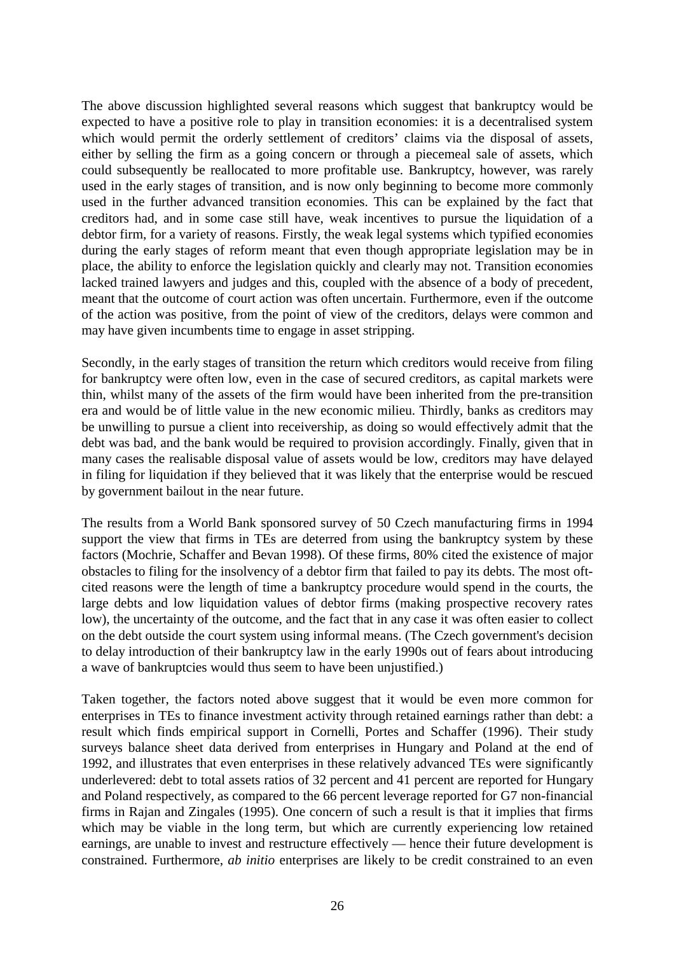The above discussion highlighted several reasons which suggest that bankruptcy would be expected to have a positive role to play in transition economies: it is a decentralised system which would permit the orderly settlement of creditors' claims via the disposal of assets, either by selling the firm as a going concern or through a piecemeal sale of assets, which could subsequently be reallocated to more profitable use. Bankruptcy, however, was rarely used in the early stages of transition, and is now only beginning to become more commonly used in the further advanced transition economies. This can be explained by the fact that creditors had, and in some case still have, weak incentives to pursue the liquidation of a debtor firm, for a variety of reasons. Firstly, the weak legal systems which typified economies during the early stages of reform meant that even though appropriate legislation may be in place, the ability to enforce the legislation quickly and clearly may not. Transition economies lacked trained lawyers and judges and this, coupled with the absence of a body of precedent, meant that the outcome of court action was often uncertain. Furthermore, even if the outcome of the action was positive, from the point of view of the creditors, delays were common and may have given incumbents time to engage in asset stripping.

Secondly, in the early stages of transition the return which creditors would receive from filing for bankruptcy were often low, even in the case of secured creditors, as capital markets were thin, whilst many of the assets of the firm would have been inherited from the pre-transition era and would be of little value in the new economic milieu. Thirdly, banks as creditors may be unwilling to pursue a client into receivership, as doing so would effectively admit that the debt was bad, and the bank would be required to provision accordingly. Finally, given that in many cases the realisable disposal value of assets would be low, creditors may have delayed in filing for liquidation if they believed that it was likely that the enterprise would be rescued by government bailout in the near future.

The results from a World Bank sponsored survey of 50 Czech manufacturing firms in 1994 support the view that firms in TEs are deterred from using the bankruptcy system by these factors (Mochrie, Schaffer and Bevan 1998). Of these firms, 80% cited the existence of major obstacles to filing for the insolvency of a debtor firm that failed to pay its debts. The most oftcited reasons were the length of time a bankruptcy procedure would spend in the courts, the large debts and low liquidation values of debtor firms (making prospective recovery rates low), the uncertainty of the outcome, and the fact that in any case it was often easier to collect on the debt outside the court system using informal means. (The Czech government's decision to delay introduction of their bankruptcy law in the early 1990s out of fears about introducing a wave of bankruptcies would thus seem to have been unjustified.)

Taken together, the factors noted above suggest that it would be even more common for enterprises in TEs to finance investment activity through retained earnings rather than debt: a result which finds empirical support in Cornelli, Portes and Schaffer (1996). Their study surveys balance sheet data derived from enterprises in Hungary and Poland at the end of 1992, and illustrates that even enterprises in these relatively advanced TEs were significantly underlevered: debt to total assets ratios of 32 percent and 41 percent are reported for Hungary and Poland respectively, as compared to the 66 percent leverage reported for G7 non-financial firms in Rajan and Zingales (1995). One concern of such a result is that it implies that firms which may be viable in the long term, but which are currently experiencing low retained earnings, are unable to invest and restructure effectively — hence their future development is constrained. Furthermore, *ab initio* enterprises are likely to be credit constrained to an even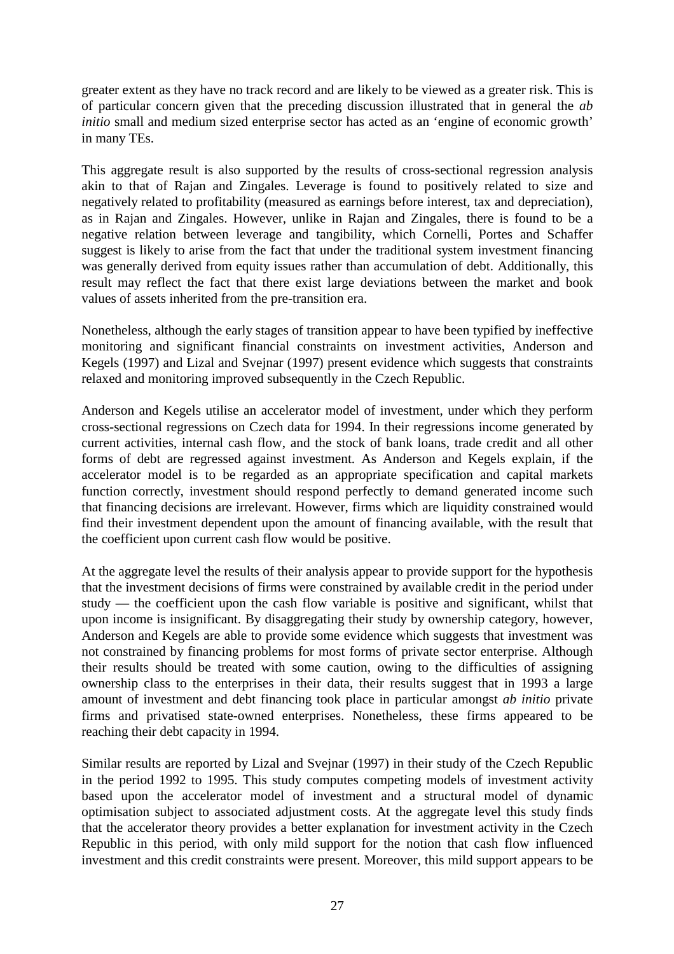greater extent as they have no track record and are likely to be viewed as a greater risk. This is of particular concern given that the preceding discussion illustrated that in general the *ab initio* small and medium sized enterprise sector has acted as an 'engine of economic growth' in many TEs.

This aggregate result is also supported by the results of cross-sectional regression analysis akin to that of Rajan and Zingales. Leverage is found to positively related to size and negatively related to profitability (measured as earnings before interest, tax and depreciation), as in Rajan and Zingales. However, unlike in Rajan and Zingales, there is found to be a negative relation between leverage and tangibility, which Cornelli, Portes and Schaffer suggest is likely to arise from the fact that under the traditional system investment financing was generally derived from equity issues rather than accumulation of debt. Additionally, this result may reflect the fact that there exist large deviations between the market and book values of assets inherited from the pre-transition era.

Nonetheless, although the early stages of transition appear to have been typified by ineffective monitoring and significant financial constraints on investment activities, Anderson and Kegels (1997) and Lizal and Svejnar (1997) present evidence which suggests that constraints relaxed and monitoring improved subsequently in the Czech Republic.

Anderson and Kegels utilise an accelerator model of investment, under which they perform cross-sectional regressions on Czech data for 1994. In their regressions income generated by current activities, internal cash flow, and the stock of bank loans, trade credit and all other forms of debt are regressed against investment. As Anderson and Kegels explain, if the accelerator model is to be regarded as an appropriate specification and capital markets function correctly, investment should respond perfectly to demand generated income such that financing decisions are irrelevant. However, firms which are liquidity constrained would find their investment dependent upon the amount of financing available, with the result that the coefficient upon current cash flow would be positive.

At the aggregate level the results of their analysis appear to provide support for the hypothesis that the investment decisions of firms were constrained by available credit in the period under study — the coefficient upon the cash flow variable is positive and significant, whilst that upon income is insignificant. By disaggregating their study by ownership category, however, Anderson and Kegels are able to provide some evidence which suggests that investment was not constrained by financing problems for most forms of private sector enterprise. Although their results should be treated with some caution, owing to the difficulties of assigning ownership class to the enterprises in their data, their results suggest that in 1993 a large amount of investment and debt financing took place in particular amongst *ab initio* private firms and privatised state-owned enterprises. Nonetheless, these firms appeared to be reaching their debt capacity in 1994.

Similar results are reported by Lizal and Svejnar (1997) in their study of the Czech Republic in the period 1992 to 1995. This study computes competing models of investment activity based upon the accelerator model of investment and a structural model of dynamic optimisation subject to associated adjustment costs. At the aggregate level this study finds that the accelerator theory provides a better explanation for investment activity in the Czech Republic in this period, with only mild support for the notion that cash flow influenced investment and this credit constraints were present. Moreover, this mild support appears to be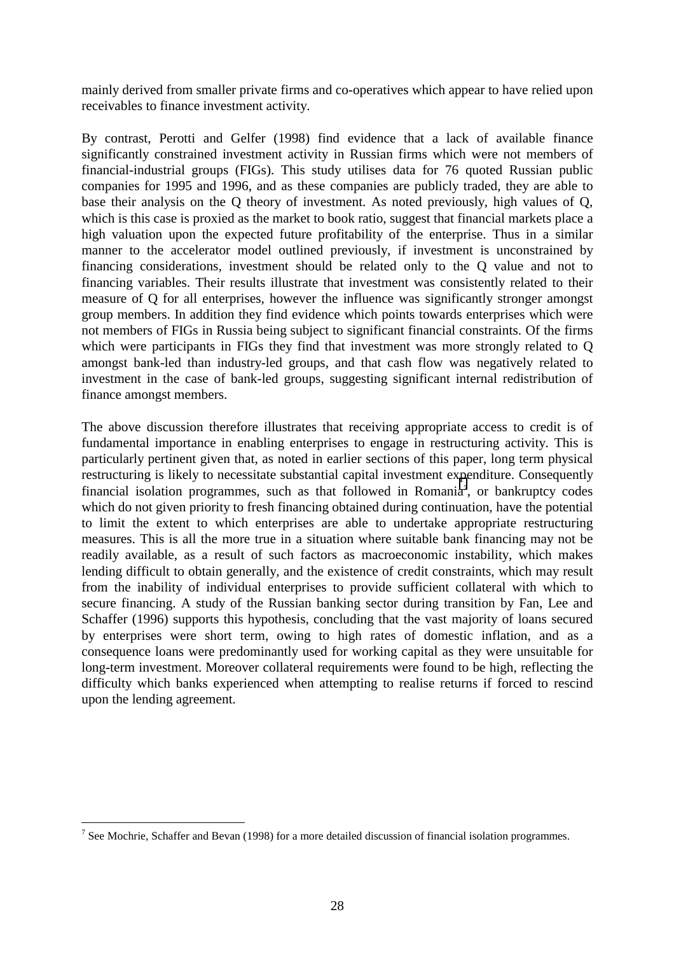mainly derived from smaller private firms and co-operatives which appear to have relied upon receivables to finance investment activity.

By contrast, Perotti and Gelfer (1998) find evidence that a lack of available finance significantly constrained investment activity in Russian firms which were not members of financial-industrial groups (FIGs). This study utilises data for 76 quoted Russian public companies for 1995 and 1996, and as these companies are publicly traded, they are able to base their analysis on the Q theory of investment. As noted previously, high values of Q, which is this case is proxied as the market to book ratio, suggest that financial markets place a high valuation upon the expected future profitability of the enterprise. Thus in a similar manner to the accelerator model outlined previously, if investment is unconstrained by financing considerations, investment should be related only to the Q value and not to financing variables. Their results illustrate that investment was consistently related to their measure of Q for all enterprises, however the influence was significantly stronger amongst group members. In addition they find evidence which points towards enterprises which were not members of FIGs in Russia being subject to significant financial constraints. Of the firms which were participants in FIGs they find that investment was more strongly related to Q amongst bank-led than industry-led groups, and that cash flow was negatively related to investment in the case of bank-led groups, suggesting significant internal redistribution of finance amongst members.

The above discussion therefore illustrates that receiving appropriate access to credit is of fundamental importance in enabling enterprises to engage in restructuring activity. This is particularly pertinent given that, as noted in earlier sections of this paper, long term physical restructuring is likely to necessitate substantial capital investment expenditure. Consequently financial isolation programmes, such as that followed in Romania<sup>7</sup>, or bankruptcy codes which do not given priority to fresh financing obtained during continuation, have the potential to limit the extent to which enterprises are able to undertake appropriate restructuring measures. This is all the more true in a situation where suitable bank financing may not be readily available, as a result of such factors as macroeconomic instability, which makes lending difficult to obtain generally, and the existence of credit constraints, which may result from the inability of individual enterprises to provide sufficient collateral with which to secure financing. A study of the Russian banking sector during transition by Fan, Lee and Schaffer (1996) supports this hypothesis, concluding that the vast majority of loans secured by enterprises were short term, owing to high rates of domestic inflation, and as a consequence loans were predominantly used for working capital as they were unsuitable for long-term investment. Moreover collateral requirements were found to be high, reflecting the difficulty which banks experienced when attempting to realise returns if forced to rescind upon the lending agreement.

 $\overline{a}$ 

<sup>&</sup>lt;sup>7</sup> See Mochrie, Schaffer and Bevan (1998) for a more detailed discussion of financial isolation programmes.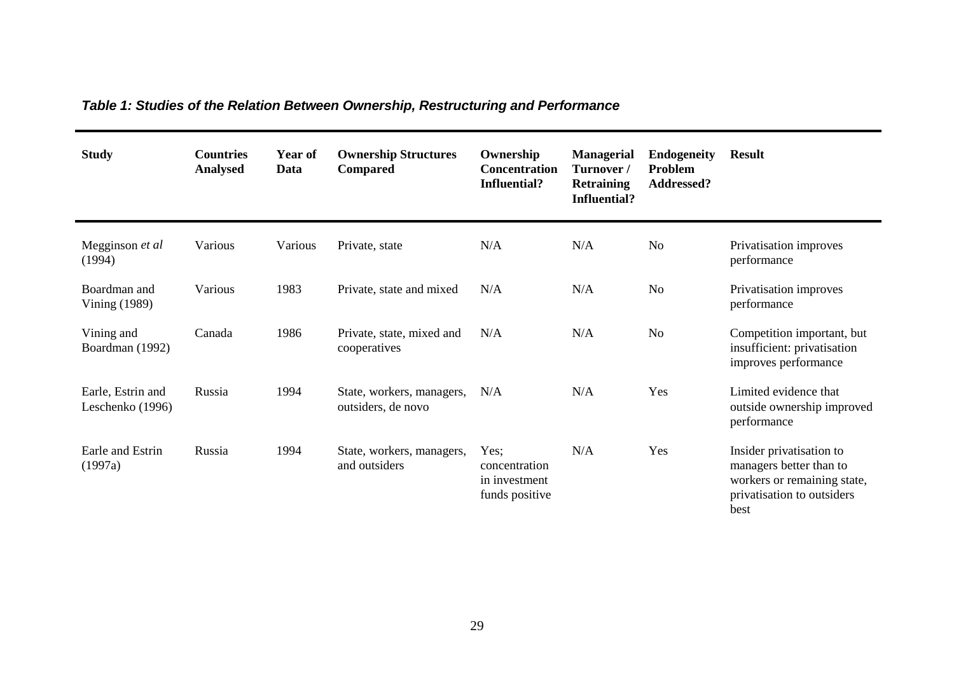| <b>Study</b>                          | <b>Countries</b><br><b>Analysed</b> | Year of<br>Data | <b>Ownership Structures</b><br>Compared         | Ownership<br><b>Concentration</b><br><b>Influential?</b> | <b>Managerial</b><br>Turnover/<br><b>Retraining</b><br><b>Influential?</b> | <b>Endogeneity</b><br>Problem<br>Addressed? | <b>Result</b>                                                                                                            |
|---------------------------------------|-------------------------------------|-----------------|-------------------------------------------------|----------------------------------------------------------|----------------------------------------------------------------------------|---------------------------------------------|--------------------------------------------------------------------------------------------------------------------------|
| Megginson et al<br>(1994)             | Various                             | Various         | Private, state                                  | N/A                                                      | N/A                                                                        | N <sub>o</sub>                              | Privatisation improves<br>performance                                                                                    |
| Boardman and<br>Vining (1989)         | Various                             | 1983            | Private, state and mixed                        | N/A                                                      | N/A                                                                        | N <sub>o</sub>                              | Privatisation improves<br>performance                                                                                    |
| Vining and<br>Boardman (1992)         | Canada                              | 1986            | Private, state, mixed and<br>cooperatives       | N/A                                                      | N/A                                                                        | N <sub>o</sub>                              | Competition important, but<br>insufficient: privatisation<br>improves performance                                        |
| Earle, Estrin and<br>Leschenko (1996) | Russia                              | 1994            | State, workers, managers,<br>outsiders, de novo | N/A                                                      | N/A                                                                        | Yes                                         | Limited evidence that<br>outside ownership improved<br>performance                                                       |
| Earle and Estrin<br>(1997a)           | Russia                              | 1994            | State, workers, managers,<br>and outsiders      | Yes;<br>concentration<br>in investment<br>funds positive | N/A                                                                        | Yes                                         | Insider privatisation to<br>managers better than to<br>workers or remaining state,<br>privatisation to outsiders<br>best |

*Table 1: Studies of the Relation Between Ownership, Restructuring and Performance*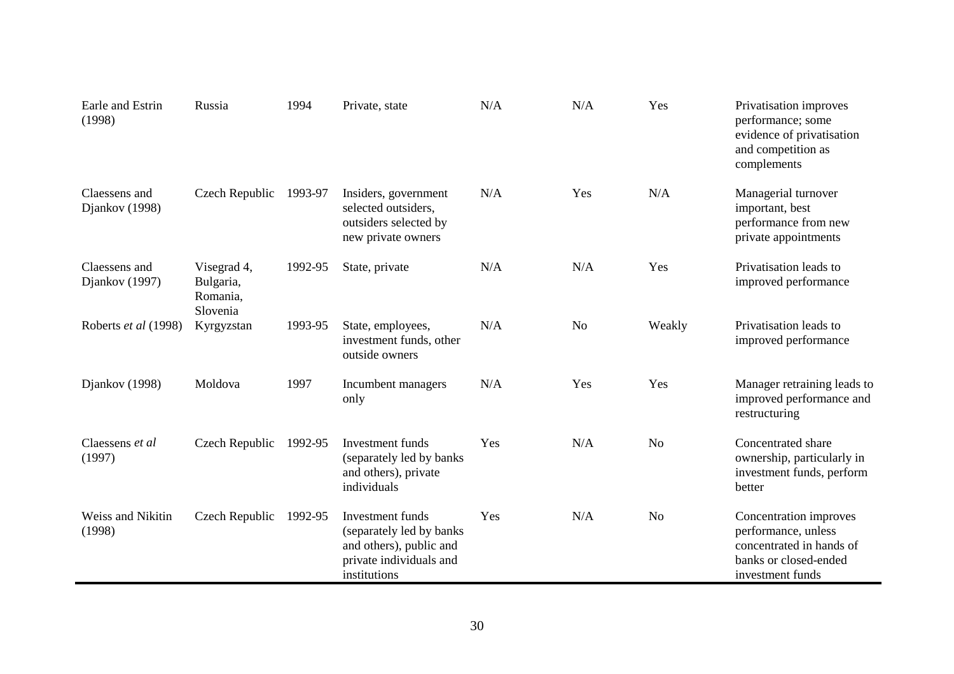| Earle and Estrin<br>(1998)      | Russia                                           | 1994    | Private, state                                                                                                      | N/A | N/A | Yes            | Privatisation improves<br>performance; some<br>evidence of privatisation<br>and competition as<br>complements          |
|---------------------------------|--------------------------------------------------|---------|---------------------------------------------------------------------------------------------------------------------|-----|-----|----------------|------------------------------------------------------------------------------------------------------------------------|
| Claessens and<br>Djankov (1998) | Czech Republic                                   | 1993-97 | Insiders, government<br>selected outsiders,<br>outsiders selected by<br>new private owners                          | N/A | Yes | N/A            | Managerial turnover<br>important, best<br>performance from new<br>private appointments                                 |
| Claessens and<br>Djankov (1997) | Visegrad 4,<br>Bulgaria,<br>Romania,<br>Slovenia | 1992-95 | State, private                                                                                                      | N/A | N/A | Yes            | Privatisation leads to<br>improved performance                                                                         |
| Roberts et al (1998)            | Kyrgyzstan                                       | 1993-95 | State, employees,<br>investment funds, other<br>outside owners                                                      | N/A | No  | Weakly         | Privatisation leads to<br>improved performance                                                                         |
| Djankov (1998)                  | Moldova                                          | 1997    | Incumbent managers<br>only                                                                                          | N/A | Yes | Yes            | Manager retraining leads to<br>improved performance and<br>restructuring                                               |
| Claessens et al<br>(1997)       | Czech Republic                                   | 1992-95 | Investment funds<br>(separately led by banks<br>and others), private<br>individuals                                 | Yes | N/A | N <sub>o</sub> | Concentrated share<br>ownership, particularly in<br>investment funds, perform<br>better                                |
| Weiss and Nikitin<br>(1998)     | Czech Republic                                   | 1992-95 | Investment funds<br>(separately led by banks)<br>and others), public and<br>private individuals and<br>institutions | Yes | N/A | N <sub>o</sub> | Concentration improves<br>performance, unless<br>concentrated in hands of<br>banks or closed-ended<br>investment funds |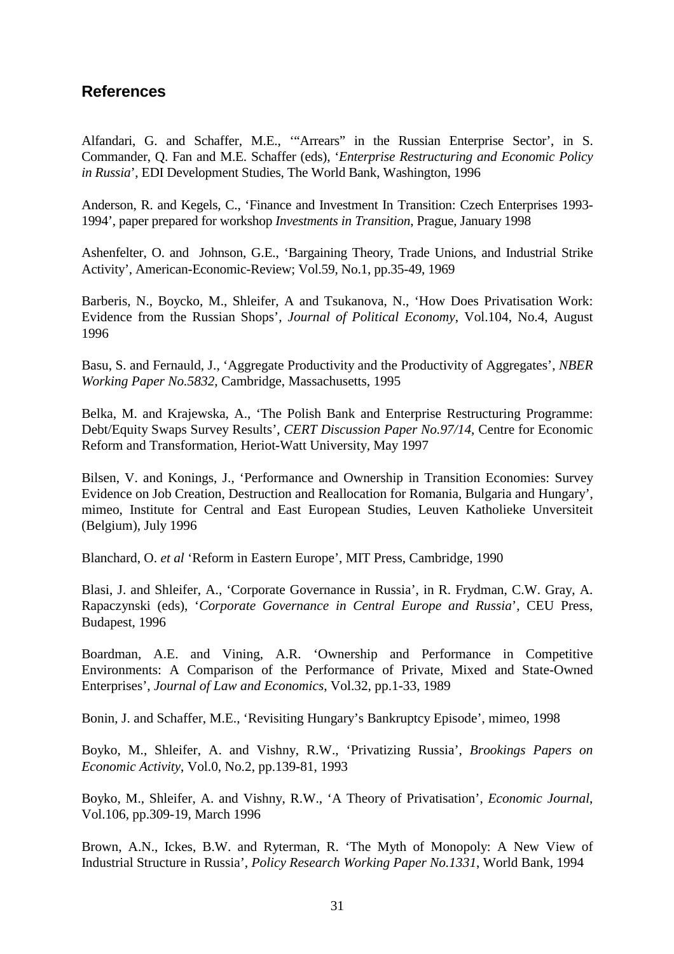# **References**

Alfandari, G. and Schaffer, M.E., '"Arrears" in the Russian Enterprise Sector', in S. Commander, Q. Fan and M.E. Schaffer (eds), '*Enterprise Restructuring and Economic Policy in Russia*', EDI Development Studies, The World Bank, Washington, 1996

Anderson, R. and Kegels, C., 'Finance and Investment In Transition: Czech Enterprises 1993- 1994', paper prepared for workshop *Investments in Transition*, Prague, January 1998

Ashenfelter, O. and Johnson, G.E., 'Bargaining Theory, Trade Unions, and Industrial Strike Activity', American-Economic-Review; Vol.59, No.1, pp.35-49, 1969

Barberis, N., Boycko, M., Shleifer, A and Tsukanova, N., 'How Does Privatisation Work: Evidence from the Russian Shops', *Journal of Political Economy*, Vol.104, No.4, August 1996

Basu, S. and Fernauld, J., 'Aggregate Productivity and the Productivity of Aggregates', *NBER Working Paper No.5832*, Cambridge, Massachusetts, 1995

Belka, M. and Krajewska, A., 'The Polish Bank and Enterprise Restructuring Programme: Debt/Equity Swaps Survey Results', *CERT Discussion Paper No.97/14*, Centre for Economic Reform and Transformation, Heriot-Watt University, May 1997

Bilsen, V. and Konings, J., 'Performance and Ownership in Transition Economies: Survey Evidence on Job Creation, Destruction and Reallocation for Romania, Bulgaria and Hungary', mimeo, Institute for Central and East European Studies, Leuven Katholieke Unversiteit (Belgium), July 1996

Blanchard, O. *et al* 'Reform in Eastern Europe', MIT Press, Cambridge, 1990

Blasi, J. and Shleifer, A., 'Corporate Governance in Russia', in R. Frydman, C.W. Gray, A. Rapaczynski (eds), '*Corporate Governance in Central Europe and Russia*', CEU Press, Budapest, 1996

Boardman, A.E. and Vining, A.R. 'Ownership and Performance in Competitive Environments: A Comparison of the Performance of Private, Mixed and State-Owned Enterprises', *Journal of Law and Economics*, Vol.32, pp.1-33, 1989

Bonin, J. and Schaffer, M.E., 'Revisiting Hungary's Bankruptcy Episode', mimeo, 1998

Boyko, M., Shleifer, A. and Vishny, R.W., 'Privatizing Russia', *Brookings Papers on Economic Activity*, Vol.0, No.2, pp.139-81, 1993

Boyko, M., Shleifer, A. and Vishny, R.W., 'A Theory of Privatisation', *Economic Journal*, Vol.106, pp.309-19, March 1996

Brown, A.N., Ickes, B.W. and Ryterman, R. 'The Myth of Monopoly: A New View of Industrial Structure in Russia', *Policy Research Working Paper No.1331*, World Bank, 1994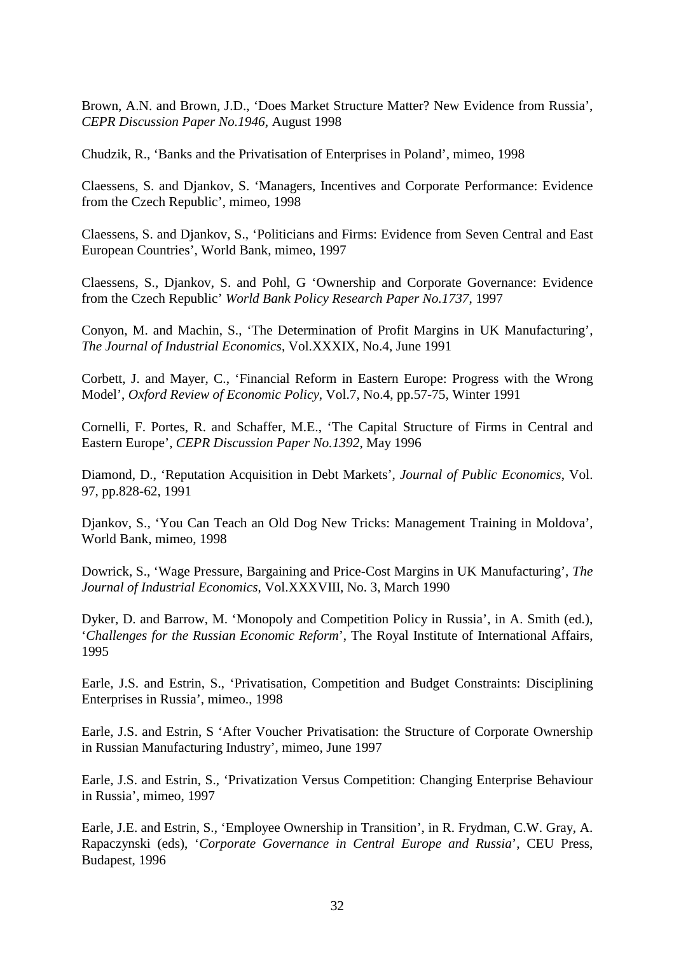Brown, A.N. and Brown, J.D., 'Does Market Structure Matter? New Evidence from Russia', *CEPR Discussion Paper No.1946*, August 1998

Chudzik, R., 'Banks and the Privatisation of Enterprises in Poland', mimeo, 1998

Claessens, S. and Djankov, S. 'Managers, Incentives and Corporate Performance: Evidence from the Czech Republic', mimeo, 1998

Claessens, S. and Djankov, S., 'Politicians and Firms: Evidence from Seven Central and East European Countries', World Bank, mimeo, 1997

Claessens, S., Djankov, S. and Pohl, G 'Ownership and Corporate Governance: Evidence from the Czech Republic' *World Bank Policy Research Paper No.1737*, 1997

Conyon, M. and Machin, S., 'The Determination of Profit Margins in UK Manufacturing', *The Journal of Industrial Economics*, Vol.XXXIX, No.4, June 1991

Corbett, J. and Mayer, C., 'Financial Reform in Eastern Europe: Progress with the Wrong Model', *Oxford Review of Economic Policy*, Vol.7, No.4, pp.57-75, Winter 1991

Cornelli, F. Portes, R. and Schaffer, M.E., 'The Capital Structure of Firms in Central and Eastern Europe', *CEPR Discussion Paper No.1392*, May 1996

Diamond, D., 'Reputation Acquisition in Debt Markets', *Journal of Public Economics*, Vol. 97, pp.828-62, 1991

Djankov, S., 'You Can Teach an Old Dog New Tricks: Management Training in Moldova', World Bank, mimeo, 1998

Dowrick, S., 'Wage Pressure, Bargaining and Price-Cost Margins in UK Manufacturing', *The Journal of Industrial Economics*, Vol.XXXVIII, No. 3, March 1990

Dyker, D. and Barrow, M. 'Monopoly and Competition Policy in Russia', in A. Smith (ed.), '*Challenges for the Russian Economic Reform*', The Royal Institute of International Affairs, 1995

Earle, J.S. and Estrin, S., 'Privatisation, Competition and Budget Constraints: Disciplining Enterprises in Russia', mimeo., 1998

Earle, J.S. and Estrin, S 'After Voucher Privatisation: the Structure of Corporate Ownership in Russian Manufacturing Industry', mimeo, June 1997

Earle, J.S. and Estrin, S., 'Privatization Versus Competition: Changing Enterprise Behaviour in Russia', mimeo, 1997

Earle, J.E. and Estrin, S., 'Employee Ownership in Transition', in R. Frydman, C.W. Gray, A. Rapaczynski (eds), '*Corporate Governance in Central Europe and Russia*', CEU Press, Budapest, 1996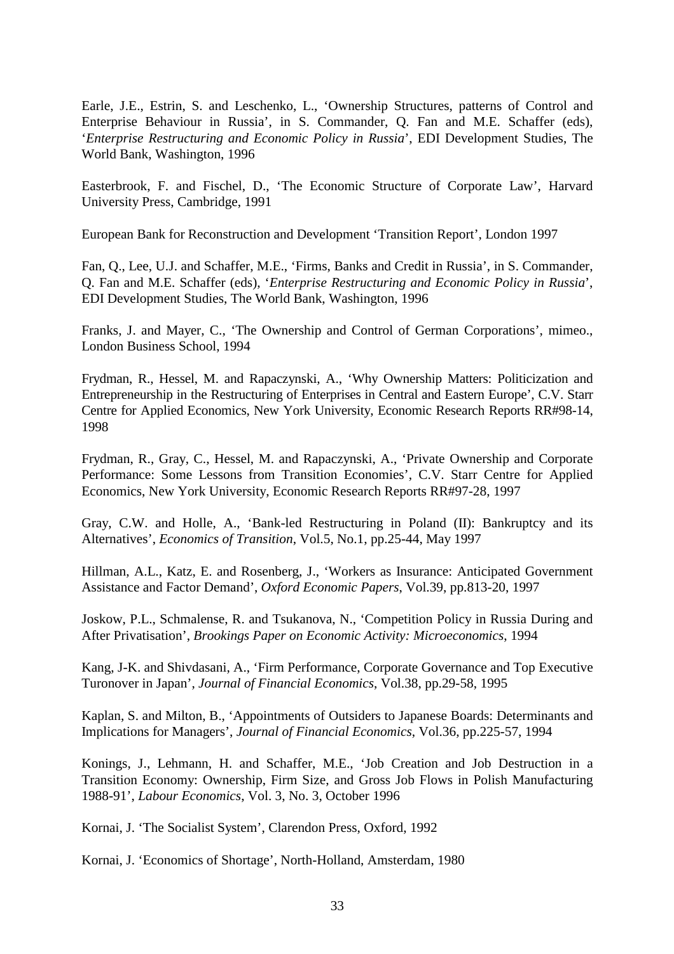Earle, J.E., Estrin, S. and Leschenko, L., 'Ownership Structures, patterns of Control and Enterprise Behaviour in Russia', in S. Commander, Q. Fan and M.E. Schaffer (eds), '*Enterprise Restructuring and Economic Policy in Russia*', EDI Development Studies, The World Bank, Washington, 1996

Easterbrook, F. and Fischel, D., 'The Economic Structure of Corporate Law', Harvard University Press, Cambridge, 1991

European Bank for Reconstruction and Development 'Transition Report', London 1997

Fan, Q., Lee, U.J. and Schaffer, M.E., 'Firms, Banks and Credit in Russia', in S. Commander, Q. Fan and M.E. Schaffer (eds), '*Enterprise Restructuring and Economic Policy in Russia*', EDI Development Studies, The World Bank, Washington, 1996

Franks, J. and Mayer, C., 'The Ownership and Control of German Corporations', mimeo., London Business School, 1994

Frydman, R., Hessel, M. and Rapaczynski, A., 'Why Ownership Matters: Politicization and Entrepreneurship in the Restructuring of Enterprises in Central and Eastern Europe', C.V. Starr Centre for Applied Economics, New York University, Economic Research Reports RR#98-14, 1998

Frydman, R., Gray, C., Hessel, M. and Rapaczynski, A., 'Private Ownership and Corporate Performance: Some Lessons from Transition Economies', C.V. Starr Centre for Applied Economics, New York University, Economic Research Reports RR#97-28, 1997

Gray, C.W. and Holle, A., 'Bank-led Restructuring in Poland (II): Bankruptcy and its Alternatives', *Economics of Transition*, Vol.5, No.1, pp.25-44, May 1997

Hillman, A.L., Katz, E. and Rosenberg, J., 'Workers as Insurance: Anticipated Government Assistance and Factor Demand', *Oxford Economic Papers*, Vol.39, pp.813-20, 1997

Joskow, P.L., Schmalense, R. and Tsukanova, N., 'Competition Policy in Russia During and After Privatisation', *Brookings Paper on Economic Activity: Microeconomics*, 1994

Kang, J-K. and Shivdasani, A., 'Firm Performance, Corporate Governance and Top Executive Turonover in Japan', *Journal of Financial Economics*, Vol.38, pp.29-58, 1995

Kaplan, S. and Milton, B., 'Appointments of Outsiders to Japanese Boards: Determinants and Implications for Managers', *Journal of Financial Economics*, Vol.36, pp.225-57, 1994

Konings, J., Lehmann, H. and Schaffer, M.E., 'Job Creation and Job Destruction in a Transition Economy: Ownership, Firm Size, and Gross Job Flows in Polish Manufacturing 1988-91', *Labour Economics*, Vol. 3, No. 3, October 1996

Kornai, J. 'The Socialist System', Clarendon Press, Oxford, 1992

Kornai, J. 'Economics of Shortage', North-Holland, Amsterdam, 1980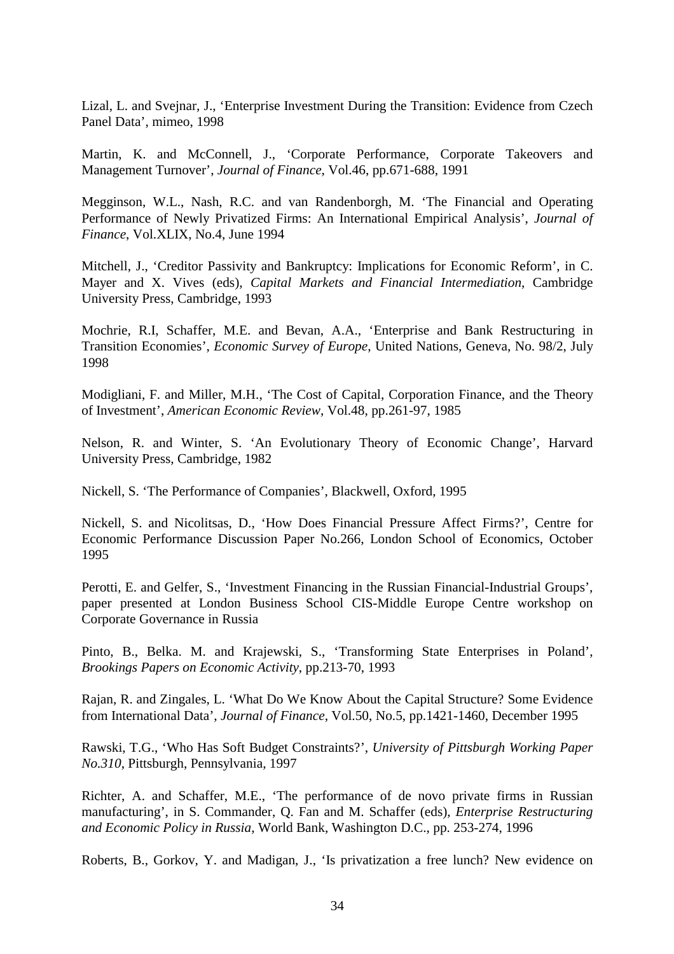Lizal, L. and Svejnar, J., 'Enterprise Investment During the Transition: Evidence from Czech Panel Data', mimeo, 1998

Martin, K. and McConnell, J., 'Corporate Performance, Corporate Takeovers and Management Turnover', *Journal of Finance*, Vol.46, pp.671-688, 1991

Megginson, W.L., Nash, R.C. and van Randenborgh, M. 'The Financial and Operating Performance of Newly Privatized Firms: An International Empirical Analysis', *Journal of Finance*, Vol.XLIX, No.4, June 1994

Mitchell, J., 'Creditor Passivity and Bankruptcy: Implications for Economic Reform', in C. Mayer and X. Vives (eds), *Capital Markets and Financial Intermediation*, Cambridge University Press, Cambridge, 1993

Mochrie, R.I, Schaffer, M.E. and Bevan, A.A., 'Enterprise and Bank Restructuring in Transition Economies', *Economic Survey of Europe*, United Nations, Geneva, No. 98/2, July 1998

Modigliani, F. and Miller, M.H., 'The Cost of Capital, Corporation Finance, and the Theory of Investment', *American Economic Review*, Vol.48, pp.261-97, 1985

Nelson, R. and Winter, S. 'An Evolutionary Theory of Economic Change', Harvard University Press, Cambridge, 1982

Nickell, S. 'The Performance of Companies', Blackwell, Oxford, 1995

Nickell, S. and Nicolitsas, D., 'How Does Financial Pressure Affect Firms?', Centre for Economic Performance Discussion Paper No.266, London School of Economics, October 1995

Perotti, E. and Gelfer, S., 'Investment Financing in the Russian Financial-Industrial Groups', paper presented at London Business School CIS-Middle Europe Centre workshop on Corporate Governance in Russia

Pinto, B., Belka. M. and Krajewski, S., 'Transforming State Enterprises in Poland', *Brookings Papers on Economic Activity*, pp.213-70, 1993

Rajan, R. and Zingales, L. 'What Do We Know About the Capital Structure? Some Evidence from International Data', *Journal of Finance*, Vol.50, No.5, pp.1421-1460, December 1995

Rawski, T.G., 'Who Has Soft Budget Constraints?', *University of Pittsburgh Working Paper No.310*, Pittsburgh, Pennsylvania, 1997

Richter, A. and Schaffer, M.E., 'The performance of de novo private firms in Russian manufacturing', in S. Commander, Q. Fan and M. Schaffer (eds), *Enterprise Restructuring and Economic Policy in Russia*, World Bank, Washington D.C., pp. 253-274, 1996

Roberts, B., Gorkov, Y. and Madigan, J., 'Is privatization a free lunch? New evidence on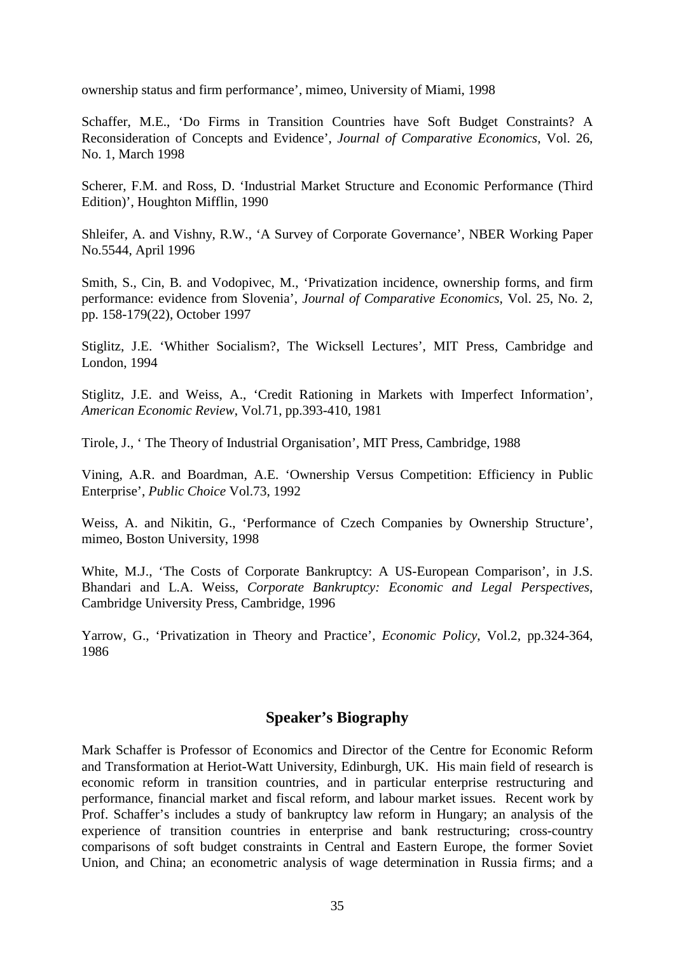ownership status and firm performance', mimeo, University of Miami, 1998

Schaffer, M.E., 'Do Firms in Transition Countries have Soft Budget Constraints? A Reconsideration of Concepts and Evidence', *Journal of Comparative Economics*, Vol. 26, No. 1, March 1998

Scherer, F.M. and Ross, D. 'Industrial Market Structure and Economic Performance (Third Edition)', Houghton Mifflin, 1990

Shleifer, A. and Vishny, R.W., 'A Survey of Corporate Governance', NBER Working Paper No.5544, April 1996

Smith, S., Cin, B. and Vodopivec, M., 'Privatization incidence, ownership forms, and firm performance: evidence from Slovenia', *Journal of Comparative Economics*, Vol. 25, No. 2, pp. 158-179(22), October 1997

Stiglitz, J.E. 'Whither Socialism?, The Wicksell Lectures', MIT Press, Cambridge and London, 1994

Stiglitz, J.E. and Weiss, A., 'Credit Rationing in Markets with Imperfect Information', *American Economic Review*, Vol.71, pp.393-410, 1981

Tirole, J., ' The Theory of Industrial Organisation', MIT Press, Cambridge, 1988

Vining, A.R. and Boardman, A.E. 'Ownership Versus Competition: Efficiency in Public Enterprise', *Public Choice* Vol.73, 1992

Weiss, A. and Nikitin, G., 'Performance of Czech Companies by Ownership Structure', mimeo, Boston University, 1998

White, M.J., 'The Costs of Corporate Bankruptcy: A US-European Comparison', in J.S. Bhandari and L.A. Weiss, *Corporate Bankruptcy: Economic and Legal Perspectives*, Cambridge University Press, Cambridge, 1996

Yarrow, G., 'Privatization in Theory and Practice', *Economic Policy*, Vol.2, pp.324-364, 1986

### **Speaker's Biography**

Mark Schaffer is Professor of Economics and Director of the Centre for Economic Reform and Transformation at Heriot-Watt University, Edinburgh, UK. His main field of research is economic reform in transition countries, and in particular enterprise restructuring and performance, financial market and fiscal reform, and labour market issues. Recent work by Prof. Schaffer's includes a study of bankruptcy law reform in Hungary; an analysis of the experience of transition countries in enterprise and bank restructuring; cross-country comparisons of soft budget constraints in Central and Eastern Europe, the former Soviet Union, and China; an econometric analysis of wage determination in Russia firms; and a